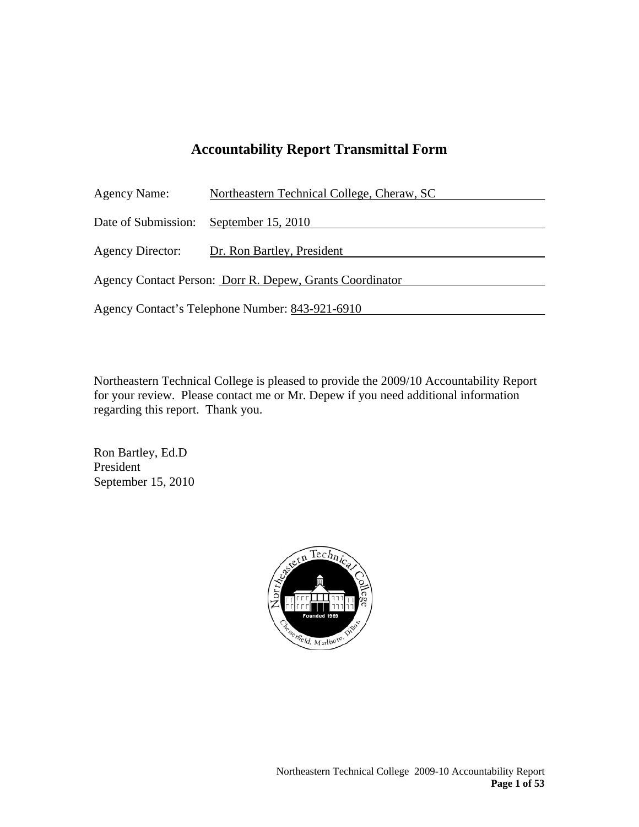# **Accountability Report Transmittal Form**

| <b>Agency Name:</b>                                      | Northeastern Technical College, Cheraw, SC |  |
|----------------------------------------------------------|--------------------------------------------|--|
| Date of Submission:                                      | September 15, 2010                         |  |
| Agency Director:                                         | Dr. Ron Bartley, President                 |  |
| Agency Contact Person: Dorr R. Depew, Grants Coordinator |                                            |  |
| Agency Contact's Telephone Number: 843-921-6910          |                                            |  |
|                                                          |                                            |  |

Northeastern Technical College is pleased to provide the 2009/10 Accountability Report for your review. Please contact me or Mr. Depew if you need additional information regarding this report. Thank you.

Ron Bartley, Ed.D President September 15, 2010

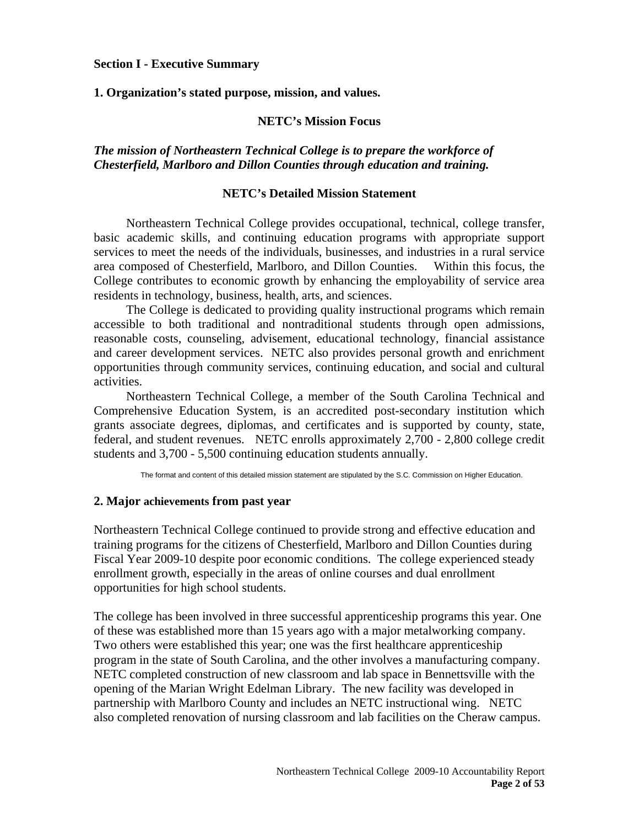#### **Section I - Executive Summary**

#### **1. Organization's stated purpose, mission, and values.**

#### **NETC's Mission Focus**

*The mission of Northeastern Technical College is to prepare the workforce of Chesterfield, Marlboro and Dillon Counties through education and training.* 

#### **NETC's Detailed Mission Statement**

Northeastern Technical College provides occupational, technical, college transfer, basic academic skills, and continuing education programs with appropriate support services to meet the needs of the individuals, businesses, and industries in a rural service area composed of Chesterfield, Marlboro, and Dillon Counties. Within this focus, the College contributes to economic growth by enhancing the employability of service area residents in technology, business, health, arts, and sciences.

The College is dedicated to providing quality instructional programs which remain accessible to both traditional and nontraditional students through open admissions, reasonable costs, counseling, advisement, educational technology, financial assistance and career development services. NETC also provides personal growth and enrichment opportunities through community services, continuing education, and social and cultural activities.

Northeastern Technical College, a member of the South Carolina Technical and Comprehensive Education System, is an accredited post-secondary institution which grants associate degrees, diplomas, and certificates and is supported by county, state, federal, and student revenues. NETC enrolls approximately 2,700 - 2,800 college credit students and 3,700 - 5,500 continuing education students annually.

The format and content of this detailed mission statement are stipulated by the S.C. Commission on Higher Education.

#### **2. Major achievements from past year**

Northeastern Technical College continued to provide strong and effective education and training programs for the citizens of Chesterfield, Marlboro and Dillon Counties during Fiscal Year 2009-10 despite poor economic conditions. The college experienced steady enrollment growth, especially in the areas of online courses and dual enrollment opportunities for high school students.

The college has been involved in three successful apprenticeship programs this year. One of these was established more than 15 years ago with a major metalworking company. Two others were established this year; one was the first healthcare apprenticeship program in the state of South Carolina, and the other involves a manufacturing company. NETC completed construction of new classroom and lab space in Bennettsville with the opening of the Marian Wright Edelman Library. The new facility was developed in partnership with Marlboro County and includes an NETC instructional wing. NETC also completed renovation of nursing classroom and lab facilities on the Cheraw campus.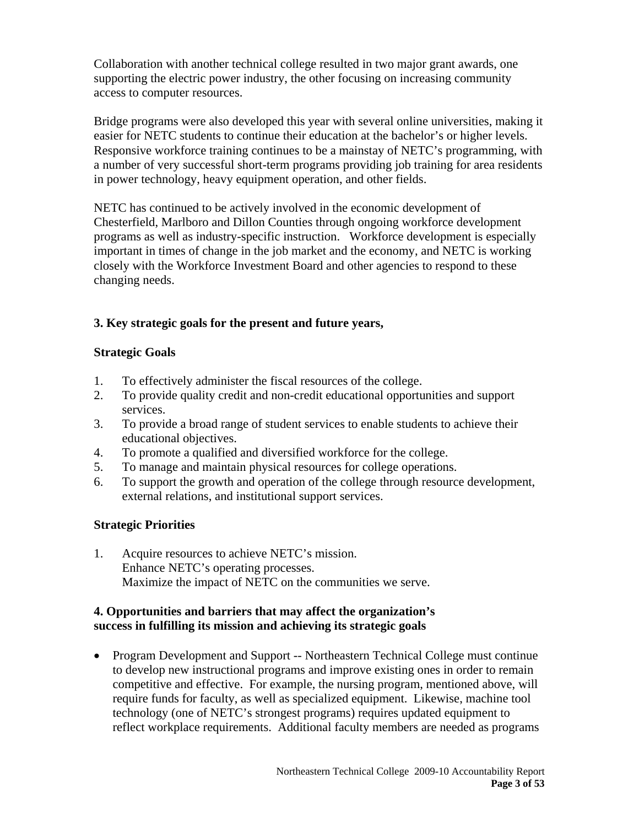Collaboration with another technical college resulted in two major grant awards, one supporting the electric power industry, the other focusing on increasing community access to computer resources.

Bridge programs were also developed this year with several online universities, making it easier for NETC students to continue their education at the bachelor's or higher levels. Responsive workforce training continues to be a mainstay of NETC's programming, with a number of very successful short-term programs providing job training for area residents in power technology, heavy equipment operation, and other fields.

NETC has continued to be actively involved in the economic development of Chesterfield, Marlboro and Dillon Counties through ongoing workforce development programs as well as industry-specific instruction. Workforce development is especially important in times of change in the job market and the economy, and NETC is working closely with the Workforce Investment Board and other agencies to respond to these changing needs.

# **3. Key strategic goals for the present and future years,**

## **Strategic Goals**

- 1. To effectively administer the fiscal resources of the college.
- 2. To provide quality credit and non-credit educational opportunities and support services.
- 3. To provide a broad range of student services to enable students to achieve their educational objectives.
- 4. To promote a qualified and diversified workforce for the college.
- 5. To manage and maintain physical resources for college operations.
- 6. To support the growth and operation of the college through resource development, external relations, and institutional support services.

## **Strategic Priorities**

1. Acquire resources to achieve NETC's mission. Enhance NETC's operating processes. Maximize the impact of NETC on the communities we serve.

#### **4. Opportunities and barriers that may affect the organization's success in fulfilling its mission and achieving its strategic goals**

• Program Development and Support -- Northeastern Technical College must continue to develop new instructional programs and improve existing ones in order to remain competitive and effective. For example, the nursing program, mentioned above, will require funds for faculty, as well as specialized equipment. Likewise, machine tool technology (one of NETC's strongest programs) requires updated equipment to reflect workplace requirements. Additional faculty members are needed as programs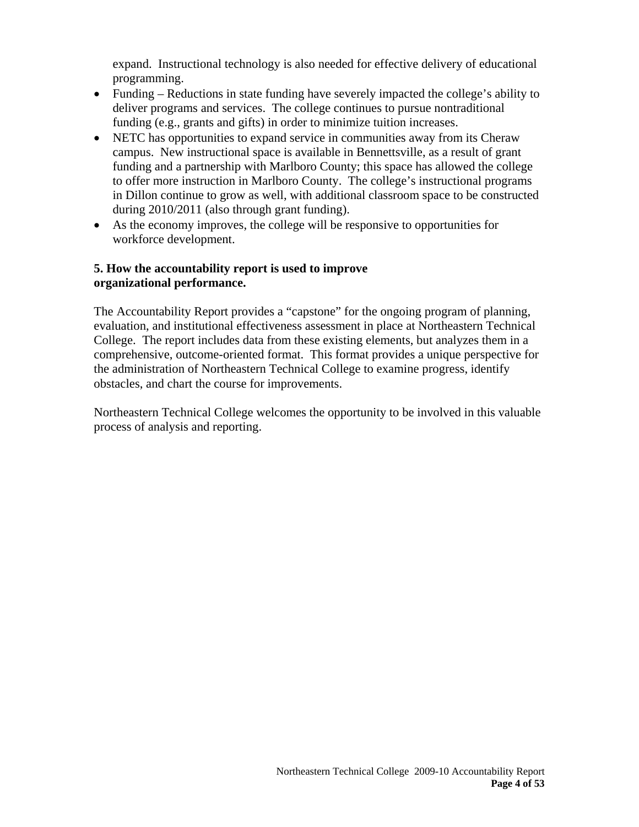expand. Instructional technology is also needed for effective delivery of educational programming.

- Funding Reductions in state funding have severely impacted the college's ability to deliver programs and services. The college continues to pursue nontraditional funding (e.g., grants and gifts) in order to minimize tuition increases.
- NETC has opportunities to expand service in communities away from its Cheraw campus. New instructional space is available in Bennettsville, as a result of grant funding and a partnership with Marlboro County; this space has allowed the college to offer more instruction in Marlboro County. The college's instructional programs in Dillon continue to grow as well, with additional classroom space to be constructed during 2010/2011 (also through grant funding).
- As the economy improves, the college will be responsive to opportunities for workforce development.

#### **5. How the accountability report is used to improve organizational performance.**

The Accountability Report provides a "capstone" for the ongoing program of planning, evaluation, and institutional effectiveness assessment in place at Northeastern Technical College. The report includes data from these existing elements, but analyzes them in a comprehensive, outcome-oriented format. This format provides a unique perspective for the administration of Northeastern Technical College to examine progress, identify obstacles, and chart the course for improvements.

Northeastern Technical College welcomes the opportunity to be involved in this valuable process of analysis and reporting.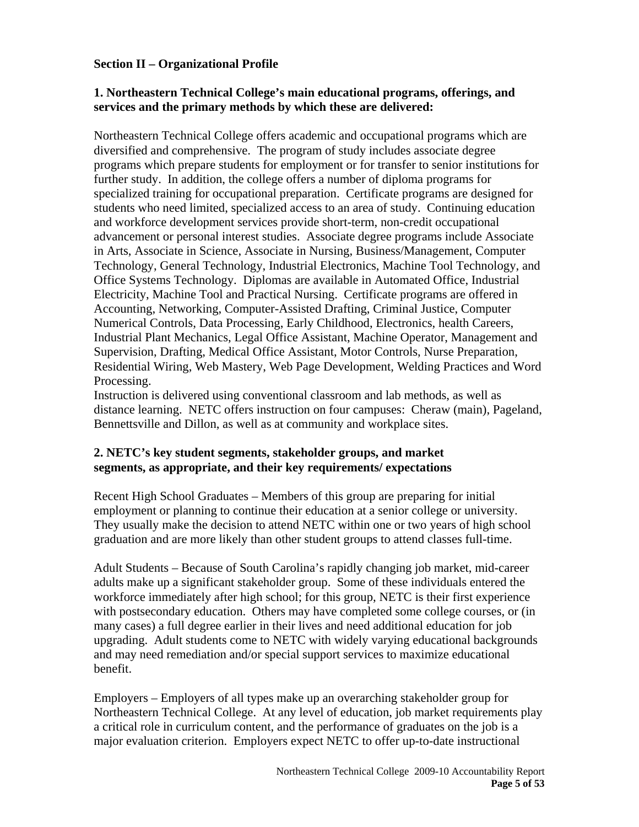### **Section II – Organizational Profile**

#### **1. Northeastern Technical College's main educational programs, offerings, and services and the primary methods by which these are delivered:**

Northeastern Technical College offers academic and occupational programs which are diversified and comprehensive. The program of study includes associate degree programs which prepare students for employment or for transfer to senior institutions for further study. In addition, the college offers a number of diploma programs for specialized training for occupational preparation. Certificate programs are designed for students who need limited, specialized access to an area of study. Continuing education and workforce development services provide short-term, non-credit occupational advancement or personal interest studies. Associate degree programs include Associate in Arts, Associate in Science, Associate in Nursing, Business/Management, Computer Technology, General Technology, Industrial Electronics, Machine Tool Technology, and Office Systems Technology. Diplomas are available in Automated Office, Industrial Electricity, Machine Tool and Practical Nursing. Certificate programs are offered in Accounting, Networking, Computer-Assisted Drafting, Criminal Justice, Computer Numerical Controls, Data Processing, Early Childhood, Electronics, health Careers, Industrial Plant Mechanics, Legal Office Assistant, Machine Operator, Management and Supervision, Drafting, Medical Office Assistant, Motor Controls, Nurse Preparation, Residential Wiring, Web Mastery, Web Page Development, Welding Practices and Word Processing.

Instruction is delivered using conventional classroom and lab methods, as well as distance learning. NETC offers instruction on four campuses: Cheraw (main), Pageland, Bennettsville and Dillon, as well as at community and workplace sites.

#### **2. NETC's key student segments, stakeholder groups, and market segments, as appropriate, and their key requirements/ expectations**

Recent High School Graduates – Members of this group are preparing for initial employment or planning to continue their education at a senior college or university. They usually make the decision to attend NETC within one or two years of high school graduation and are more likely than other student groups to attend classes full-time.

Adult Students – Because of South Carolina's rapidly changing job market, mid-career adults make up a significant stakeholder group. Some of these individuals entered the workforce immediately after high school; for this group, NETC is their first experience with postsecondary education. Others may have completed some college courses, or (in many cases) a full degree earlier in their lives and need additional education for job upgrading. Adult students come to NETC with widely varying educational backgrounds and may need remediation and/or special support services to maximize educational benefit.

Employers – Employers of all types make up an overarching stakeholder group for Northeastern Technical College. At any level of education, job market requirements play a critical role in curriculum content, and the performance of graduates on the job is a major evaluation criterion. Employers expect NETC to offer up-to-date instructional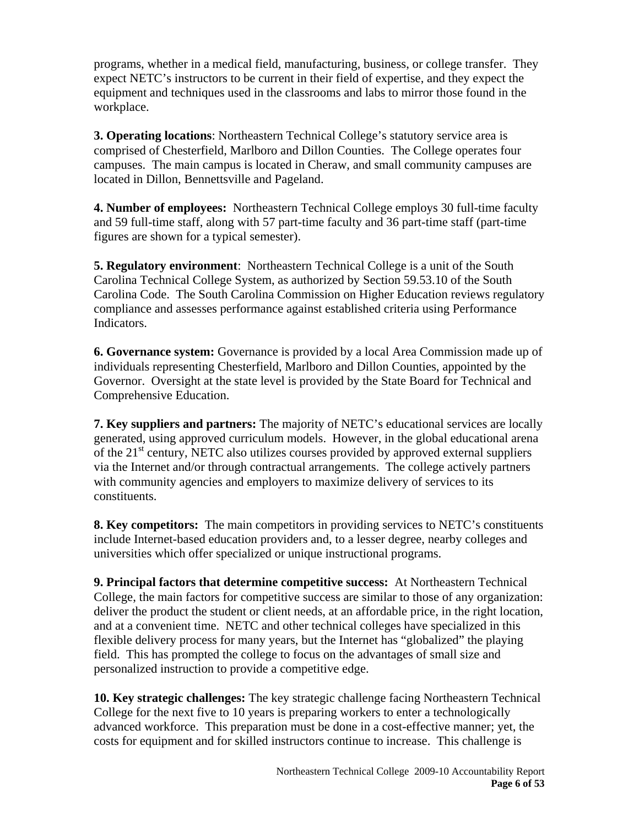programs, whether in a medical field, manufacturing, business, or college transfer. They expect NETC's instructors to be current in their field of expertise, and they expect the equipment and techniques used in the classrooms and labs to mirror those found in the workplace.

**3. Operating locations**: Northeastern Technical College's statutory service area is comprised of Chesterfield, Marlboro and Dillon Counties. The College operates four campuses. The main campus is located in Cheraw, and small community campuses are located in Dillon, Bennettsville and Pageland.

**4. Number of employees:** Northeastern Technical College employs 30 full-time faculty and 59 full-time staff, along with 57 part-time faculty and 36 part-time staff (part-time figures are shown for a typical semester).

**5. Regulatory environment**: Northeastern Technical College is a unit of the South Carolina Technical College System, as authorized by Section 59.53.10 of the South Carolina Code. The South Carolina Commission on Higher Education reviews regulatory compliance and assesses performance against established criteria using Performance Indicators.

**6. Governance system:** Governance is provided by a local Area Commission made up of individuals representing Chesterfield, Marlboro and Dillon Counties, appointed by the Governor. Oversight at the state level is provided by the State Board for Technical and Comprehensive Education.

**7. Key suppliers and partners:** The majority of NETC's educational services are locally generated, using approved curriculum models. However, in the global educational arena of the  $21<sup>st</sup>$  century, NETC also utilizes courses provided by approved external suppliers via the Internet and/or through contractual arrangements. The college actively partners with community agencies and employers to maximize delivery of services to its constituents.

**8. Key competitors:** The main competitors in providing services to NETC's constituents include Internet-based education providers and, to a lesser degree, nearby colleges and universities which offer specialized or unique instructional programs.

**9. Principal factors that determine competitive success:** At Northeastern Technical College, the main factors for competitive success are similar to those of any organization: deliver the product the student or client needs, at an affordable price, in the right location, and at a convenient time. NETC and other technical colleges have specialized in this flexible delivery process for many years, but the Internet has "globalized" the playing field. This has prompted the college to focus on the advantages of small size and personalized instruction to provide a competitive edge.

**10. Key strategic challenges:** The key strategic challenge facing Northeastern Technical College for the next five to 10 years is preparing workers to enter a technologically advanced workforce. This preparation must be done in a cost-effective manner; yet, the costs for equipment and for skilled instructors continue to increase. This challenge is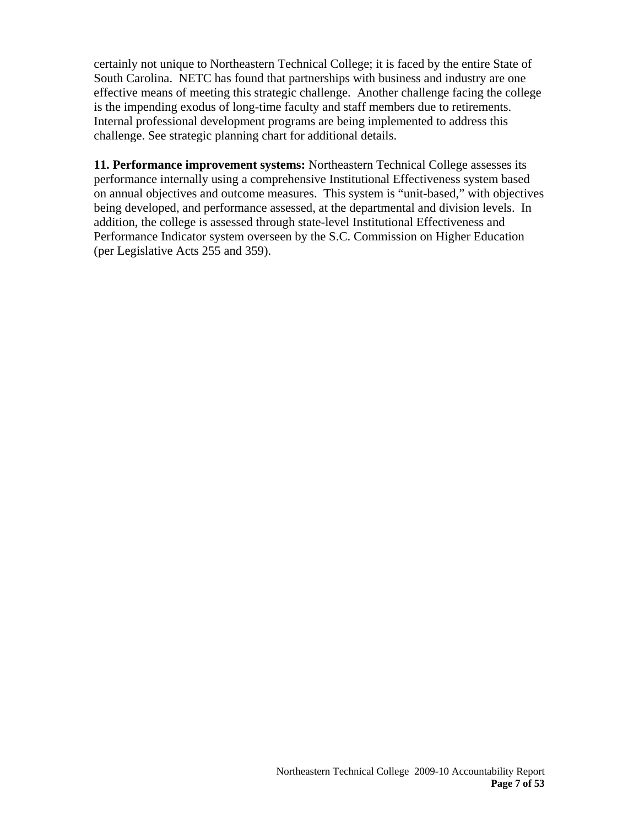certainly not unique to Northeastern Technical College; it is faced by the entire State of South Carolina. NETC has found that partnerships with business and industry are one effective means of meeting this strategic challenge. Another challenge facing the college is the impending exodus of long-time faculty and staff members due to retirements. Internal professional development programs are being implemented to address this challenge. See strategic planning chart for additional details.

**11. Performance improvement systems:** Northeastern Technical College assesses its performance internally using a comprehensive Institutional Effectiveness system based on annual objectives and outcome measures. This system is "unit-based," with objectives being developed, and performance assessed, at the departmental and division levels. In addition, the college is assessed through state-level Institutional Effectiveness and Performance Indicator system overseen by the S.C. Commission on Higher Education (per Legislative Acts 255 and 359).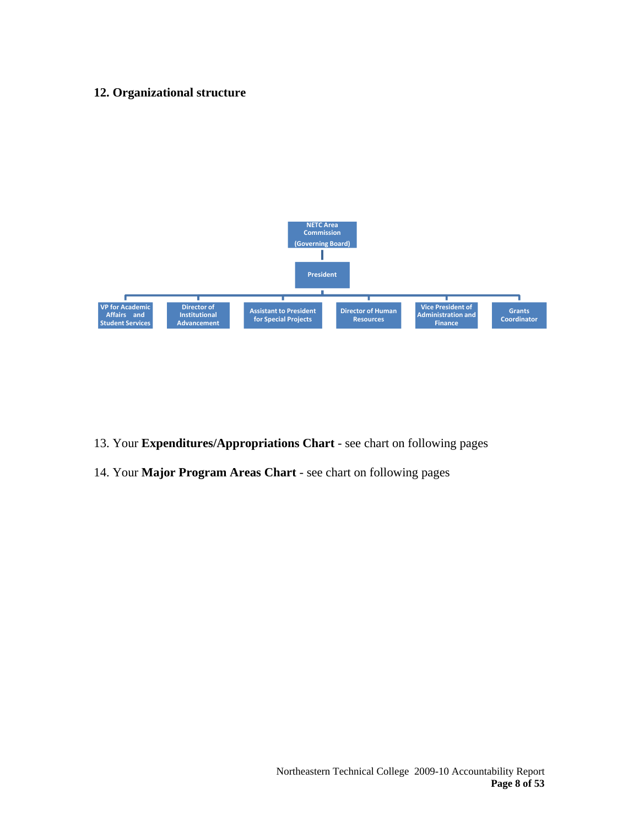#### **12. Organizational structure**



- 13. Your **Expenditures/Appropriations Chart** see chart on following pages
- 14. Your **Major Program Areas Chart** see chart on following pages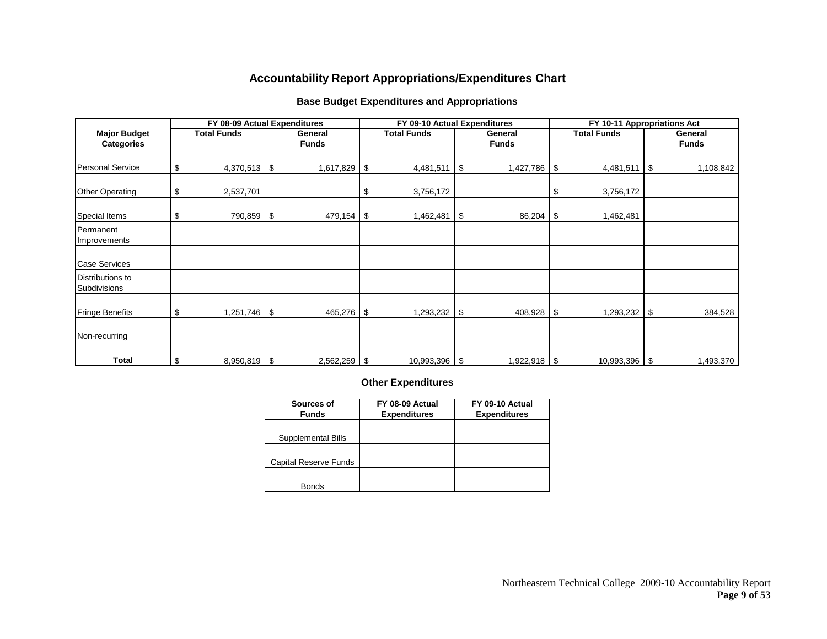#### **Accountability Report Appropriations/Expenditures Chart**

#### **Base Budget Expenditures and Appropriations**

|                                          | FY 08-09 Actual Expenditures |                         | FY 09-10 Actual Expenditures |      |                         | FY 10-11 Appropriations Act |                         |
|------------------------------------------|------------------------------|-------------------------|------------------------------|------|-------------------------|-----------------------------|-------------------------|
| <b>Major Budget</b><br><b>Categories</b> | <b>Total Funds</b>           | General<br><b>Funds</b> | <b>Total Funds</b>           |      | General<br><b>Funds</b> | <b>Total Funds</b>          | General<br><b>Funds</b> |
| <b>Personal Service</b>                  | \$<br>$4,370,513$ \$         | 1,617,829 \$            | 4,481,511                    | l \$ | 1,427,786 \$            | $4,481,511$ \$              | 1,108,842               |
| <b>Other Operating</b>                   | \$<br>2,537,701              |                         | \$<br>3,756,172              |      |                         | \$<br>3,756,172             |                         |
| Special Items                            | \$<br>790,859 \$             | 479,154 \$              | 1,462,481 \$                 |      | $86,204$ \$             | 1,462,481                   |                         |
| Permanent<br>Improvements                |                              |                         |                              |      |                         |                             |                         |
| <b>Case Services</b>                     |                              |                         |                              |      |                         |                             |                         |
| Distributions to<br>Subdivisions         |                              |                         |                              |      |                         |                             |                         |
| <b>Fringe Benefits</b>                   | \$<br>$1,251,746$ \$         | 465,276 \$              | 1,293,232                    | \$   | 408,928 \$              | $1,293,232$ \$              | 384,528                 |
| Non-recurring                            |                              |                         |                              |      |                         |                             |                         |
| Total                                    | \$<br>$8,950,819$ \$         | $2,562,259$ \$          | $10,993,396$ \ \ \$          |      | $1,922,918$ \$          |                             | 1,493,370               |

#### **Other Expenditures**

| Sources of                   | FY 08-09 Actual     | FY 09-10 Actual     |
|------------------------------|---------------------|---------------------|
| <b>Funds</b>                 | <b>Expenditures</b> | <b>Expenditures</b> |
|                              |                     |                     |
| Supplemental Bills           |                     |                     |
|                              |                     |                     |
| <b>Capital Reserve Funds</b> |                     |                     |
|                              |                     |                     |
| <b>Bonds</b>                 |                     |                     |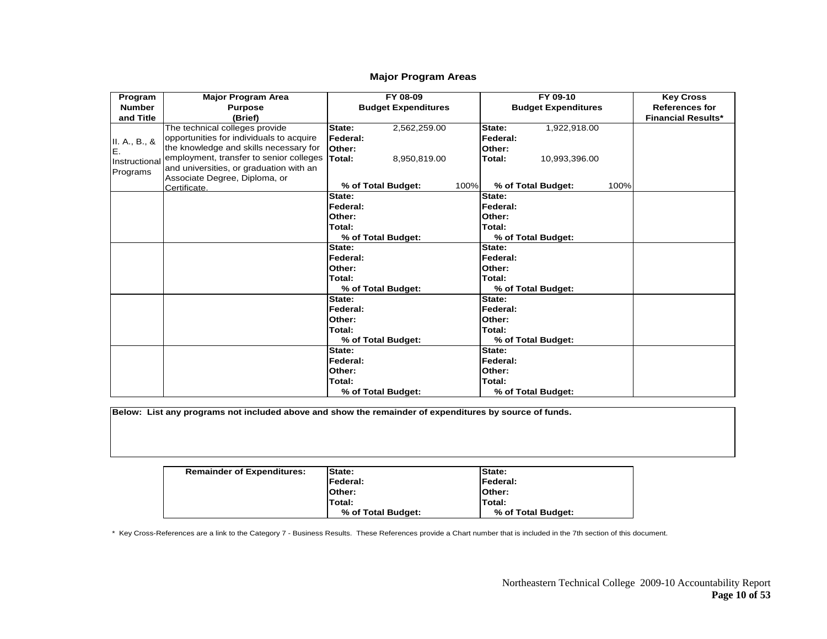#### **Major Program Areas**

| Program       | <b>Major Program Area</b>                | FY 08-09                   |      | FY 09-10                   |      | <b>Key Cross</b>          |
|---------------|------------------------------------------|----------------------------|------|----------------------------|------|---------------------------|
| <b>Number</b> | <b>Purpose</b>                           | <b>Budget Expenditures</b> |      | <b>Budget Expenditures</b> |      | <b>References for</b>     |
| and Title     | (Brief)                                  |                            |      |                            |      | <b>Financial Results*</b> |
|               | The technical colleges provide           | 2,562,259.00<br>State:     |      | State:<br>1,922,918.00     |      |                           |
| II. A., B., & | opportunities for individuals to acquire | Federal:                   |      | Federal:                   |      |                           |
| IE.           | the knowledge and skills necessary for   | Other:                     |      | Other:                     |      |                           |
| Instructional | employment, transfer to senior colleges  | Total:<br>8,950,819.00     |      | Total:<br>10,993,396.00    |      |                           |
| Programs      | and universities, or graduation with an  |                            |      |                            |      |                           |
|               | Associate Degree, Diploma, or            |                            |      |                            |      |                           |
|               | Certificate.                             | % of Total Budget:         | 100% | % of Total Budget:         | 100% |                           |
|               |                                          | State:                     |      | State:                     |      |                           |
|               |                                          | Federal:                   |      | Federal:                   |      |                           |
|               |                                          | Other:                     |      | Other:                     |      |                           |
|               |                                          | Total:                     |      | Total:                     |      |                           |
|               |                                          | % of Total Budget:         |      | % of Total Budget:         |      |                           |
|               |                                          | State:                     |      | State:                     |      |                           |
|               |                                          | Federal:                   |      | Federal:                   |      |                           |
|               |                                          | Other:                     |      | Other:                     |      |                           |
|               |                                          | Total:                     |      | Total:                     |      |                           |
|               |                                          | % of Total Budget:         |      | % of Total Budget:         |      |                           |
|               |                                          | State:                     |      | State:                     |      |                           |
|               |                                          | Federal:                   |      | Federal:                   |      |                           |
|               |                                          | Other:                     |      | Other:                     |      |                           |
|               |                                          | Total:                     |      | Total:                     |      |                           |
|               |                                          | % of Total Budget:         |      | % of Total Budget:         |      |                           |
|               |                                          | State:                     |      | State:                     |      |                           |
|               |                                          | Federal:                   |      | Federal:                   |      |                           |
|               |                                          | Other:                     |      | Other:                     |      |                           |
|               |                                          | <b>Total:</b>              |      | Total:                     |      |                           |
|               |                                          | % of Total Budget:         |      | % of Total Budget:         |      |                           |

**Below: List any programs not included above and show the remainder of expenditures by source of funds.**

| <b>Remainder of Expenditures:</b> | <b>State:</b>      | <b>State:</b>      |
|-----------------------------------|--------------------|--------------------|
|                                   | <b>IFederal:</b>   | <b>IFederal:</b>   |
|                                   | lOther:            | <b>Other:</b>      |
|                                   | Total:             | <b>Total:</b>      |
|                                   | % of Total Budget: | % of Total Budget: |

\* Key Cross-References are a link to the Category 7 - Business Results. These References provide a Chart number that is included in the 7th section of this document.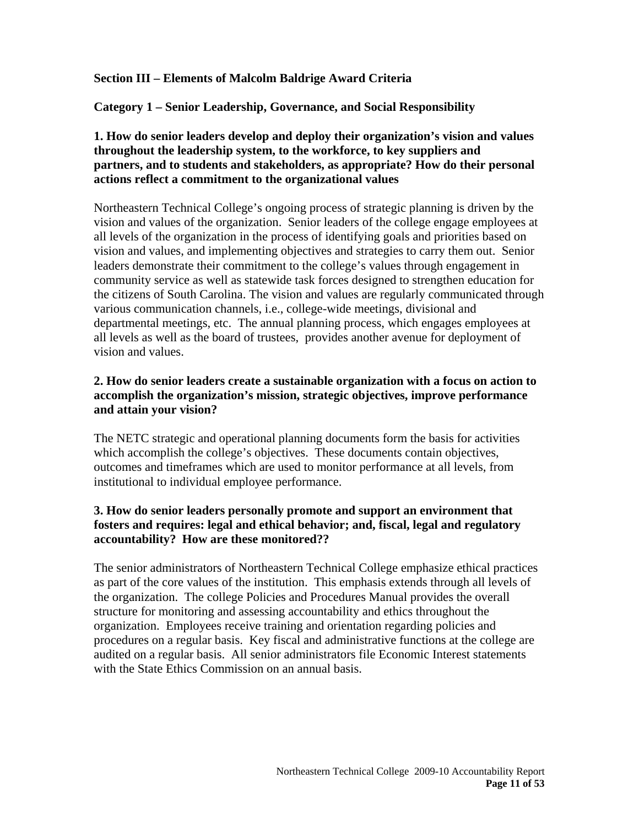#### **Section III – Elements of Malcolm Baldrige Award Criteria**

**Category 1 – Senior Leadership, Governance, and Social Responsibility** 

### **1. How do senior leaders develop and deploy their organization's vision and values throughout the leadership system, to the workforce, to key suppliers and partners, and to students and stakeholders, as appropriate? How do their personal actions reflect a commitment to the organizational values**

Northeastern Technical College's ongoing process of strategic planning is driven by the vision and values of the organization. Senior leaders of the college engage employees at all levels of the organization in the process of identifying goals and priorities based on vision and values, and implementing objectives and strategies to carry them out. Senior leaders demonstrate their commitment to the college's values through engagement in community service as well as statewide task forces designed to strengthen education for the citizens of South Carolina. The vision and values are regularly communicated through various communication channels, i.e., college-wide meetings, divisional and departmental meetings, etc. The annual planning process, which engages employees at all levels as well as the board of trustees, provides another avenue for deployment of vision and values.

#### **2. How do senior leaders create a sustainable organization with a focus on action to accomplish the organization's mission, strategic objectives, improve performance and attain your vision?**

The NETC strategic and operational planning documents form the basis for activities which accomplish the college's objectives. These documents contain objectives, outcomes and timeframes which are used to monitor performance at all levels, from institutional to individual employee performance.

# **3. How do senior leaders personally promote and support an environment that fosters and requires: legal and ethical behavior; and, fiscal, legal and regulatory accountability? How are these monitored??**

The senior administrators of Northeastern Technical College emphasize ethical practices as part of the core values of the institution. This emphasis extends through all levels of the organization. The college Policies and Procedures Manual provides the overall structure for monitoring and assessing accountability and ethics throughout the organization. Employees receive training and orientation regarding policies and procedures on a regular basis. Key fiscal and administrative functions at the college are audited on a regular basis. All senior administrators file Economic Interest statements with the State Ethics Commission on an annual basis.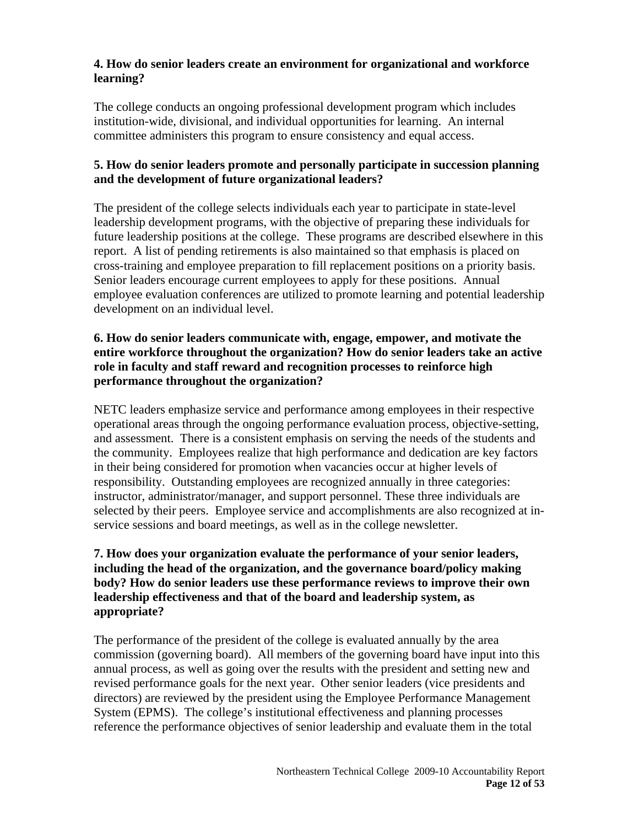## **4. How do senior leaders create an environment for organizational and workforce learning?**

The college conducts an ongoing professional development program which includes institution-wide, divisional, and individual opportunities for learning. An internal committee administers this program to ensure consistency and equal access.

# **5. How do senior leaders promote and personally participate in succession planning and the development of future organizational leaders?**

The president of the college selects individuals each year to participate in state-level leadership development programs, with the objective of preparing these individuals for future leadership positions at the college. These programs are described elsewhere in this report. A list of pending retirements is also maintained so that emphasis is placed on cross-training and employee preparation to fill replacement positions on a priority basis. Senior leaders encourage current employees to apply for these positions. Annual employee evaluation conferences are utilized to promote learning and potential leadership development on an individual level.

## **6. How do senior leaders communicate with, engage, empower, and motivate the entire workforce throughout the organization? How do senior leaders take an active role in faculty and staff reward and recognition processes to reinforce high performance throughout the organization?**

NETC leaders emphasize service and performance among employees in their respective operational areas through the ongoing performance evaluation process, objective-setting, and assessment. There is a consistent emphasis on serving the needs of the students and the community. Employees realize that high performance and dedication are key factors in their being considered for promotion when vacancies occur at higher levels of responsibility. Outstanding employees are recognized annually in three categories: instructor, administrator/manager, and support personnel. These three individuals are selected by their peers. Employee service and accomplishments are also recognized at inservice sessions and board meetings, as well as in the college newsletter.

# **7. How does your organization evaluate the performance of your senior leaders, including the head of the organization, and the governance board/policy making body? How do senior leaders use these performance reviews to improve their own leadership effectiveness and that of the board and leadership system, as appropriate?**

The performance of the president of the college is evaluated annually by the area commission (governing board). All members of the governing board have input into this annual process, as well as going over the results with the president and setting new and revised performance goals for the next year. Other senior leaders (vice presidents and directors) are reviewed by the president using the Employee Performance Management System (EPMS). The college's institutional effectiveness and planning processes reference the performance objectives of senior leadership and evaluate them in the total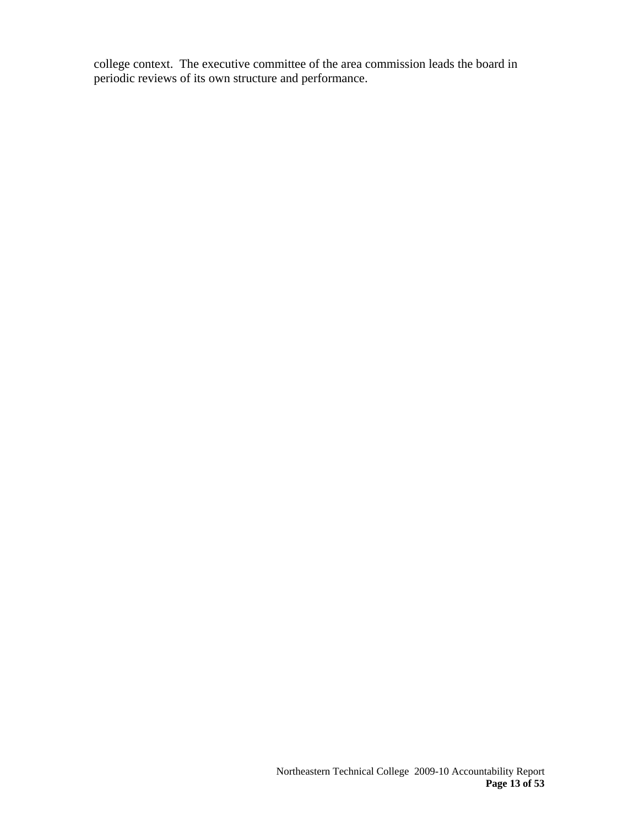college context. The executive committee of the area commission leads the board in periodic reviews of its own structure and performance.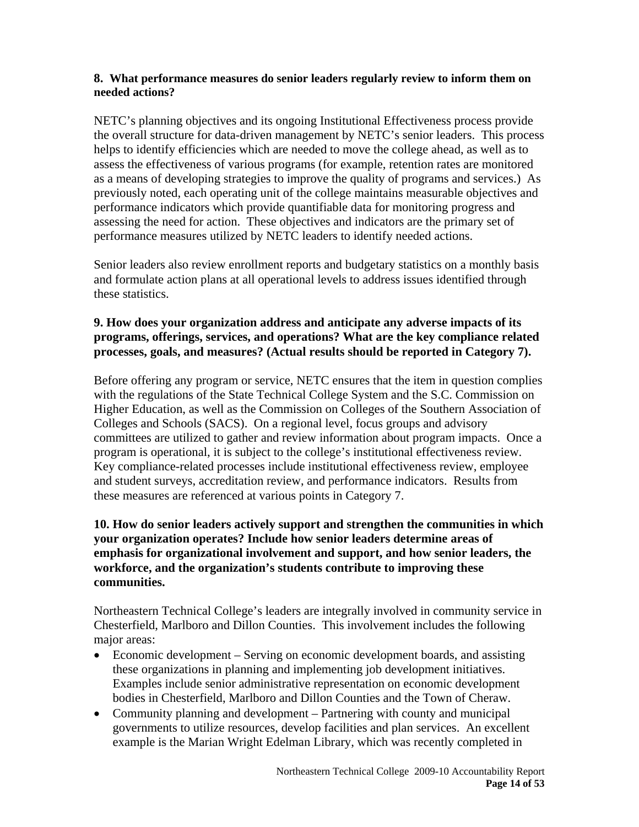#### **8. What performance measures do senior leaders regularly review to inform them on needed actions?**

NETC's planning objectives and its ongoing Institutional Effectiveness process provide the overall structure for data-driven management by NETC's senior leaders. This process helps to identify efficiencies which are needed to move the college ahead, as well as to assess the effectiveness of various programs (for example, retention rates are monitored as a means of developing strategies to improve the quality of programs and services.) As previously noted, each operating unit of the college maintains measurable objectives and performance indicators which provide quantifiable data for monitoring progress and assessing the need for action. These objectives and indicators are the primary set of performance measures utilized by NETC leaders to identify needed actions.

Senior leaders also review enrollment reports and budgetary statistics on a monthly basis and formulate action plans at all operational levels to address issues identified through these statistics.

#### **9. How does your organization address and anticipate any adverse impacts of its programs, offerings, services, and operations? What are the key compliance related processes, goals, and measures? (Actual results should be reported in Category 7).**

Before offering any program or service, NETC ensures that the item in question complies with the regulations of the State Technical College System and the S.C. Commission on Higher Education, as well as the Commission on Colleges of the Southern Association of Colleges and Schools (SACS). On a regional level, focus groups and advisory committees are utilized to gather and review information about program impacts. Once a program is operational, it is subject to the college's institutional effectiveness review. Key compliance-related processes include institutional effectiveness review, employee and student surveys, accreditation review, and performance indicators. Results from these measures are referenced at various points in Category 7.

#### **10. How do senior leaders actively support and strengthen the communities in which your organization operates? Include how senior leaders determine areas of emphasis for organizational involvement and support, and how senior leaders, the workforce, and the organization's students contribute to improving these communities.**

Northeastern Technical College's leaders are integrally involved in community service in Chesterfield, Marlboro and Dillon Counties. This involvement includes the following major areas:

- Economic development Serving on economic development boards, and assisting these organizations in planning and implementing job development initiatives. Examples include senior administrative representation on economic development bodies in Chesterfield, Marlboro and Dillon Counties and the Town of Cheraw.
- Community planning and development Partnering with county and municipal governments to utilize resources, develop facilities and plan services. An excellent example is the Marian Wright Edelman Library, which was recently completed in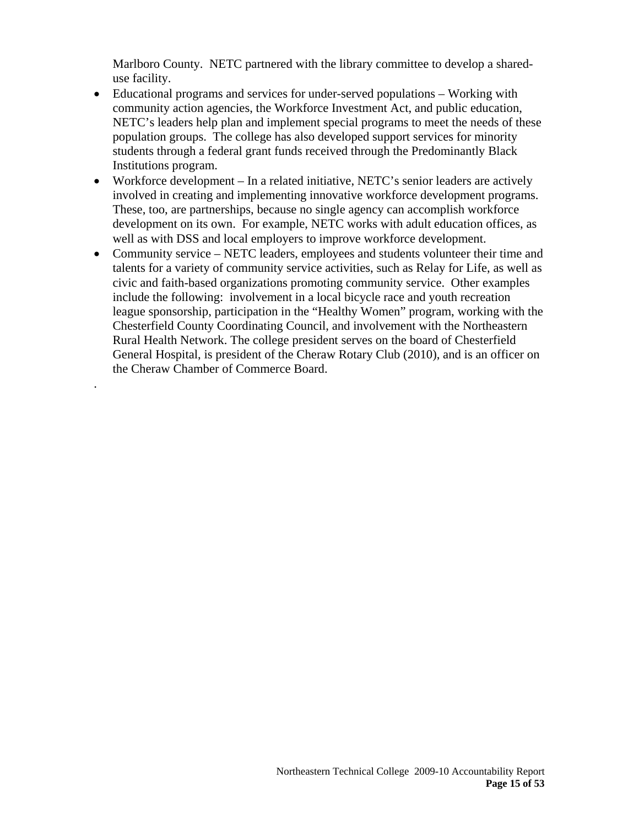Marlboro County. NETC partnered with the library committee to develop a shareduse facility.

- Educational programs and services for under-served populations Working with community action agencies, the Workforce Investment Act, and public education, NETC's leaders help plan and implement special programs to meet the needs of these population groups. The college has also developed support services for minority students through a federal grant funds received through the Predominantly Black Institutions program.
- Workforce development In a related initiative, NETC's senior leaders are actively involved in creating and implementing innovative workforce development programs. These, too, are partnerships, because no single agency can accomplish workforce development on its own. For example, NETC works with adult education offices, as well as with DSS and local employers to improve workforce development.
- Community service NETC leaders, employees and students volunteer their time and talents for a variety of community service activities, such as Relay for Life, as well as civic and faith-based organizations promoting community service. Other examples include the following: involvement in a local bicycle race and youth recreation league sponsorship, participation in the "Healthy Women" program, working with the Chesterfield County Coordinating Council, and involvement with the Northeastern Rural Health Network. The college president serves on the board of Chesterfield General Hospital, is president of the Cheraw Rotary Club (2010), and is an officer on the Cheraw Chamber of Commerce Board.

.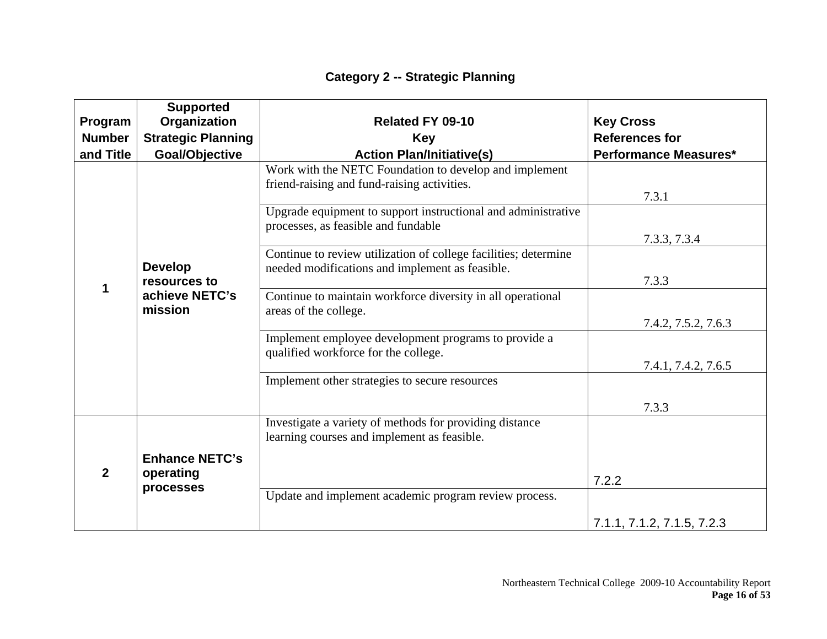|  | <b>Category 2 -- Strategic Planning</b> |
|--|-----------------------------------------|
|--|-----------------------------------------|

|                                                | <b>Supported</b>                                                                     |                                                                                                                    |                              |
|------------------------------------------------|--------------------------------------------------------------------------------------|--------------------------------------------------------------------------------------------------------------------|------------------------------|
| Program                                        | Organization                                                                         | <b>Related FY 09-10</b>                                                                                            | <b>Key Cross</b>             |
| <b>Number</b>                                  | <b>Strategic Planning</b>                                                            | <b>Key</b>                                                                                                         | <b>References for</b>        |
| and Title                                      | Goal/Objective                                                                       | <b>Action Plan/Initiative(s)</b>                                                                                   | <b>Performance Measures*</b> |
|                                                |                                                                                      | Work with the NETC Foundation to develop and implement<br>friend-raising and fund-raising activities.              | 7.3.1                        |
|                                                |                                                                                      | Upgrade equipment to support instructional and administrative<br>processes, as feasible and fundable               |                              |
|                                                | <b>Develop</b>                                                                       | Continue to review utilization of college facilities; determine<br>needed modifications and implement as feasible. | 7.3.3, 7.3.4                 |
| resources to<br>1<br>achieve NETC's<br>mission | Continue to maintain workforce diversity in all operational<br>areas of the college. | 7.3.3                                                                                                              |                              |
|                                                |                                                                                      |                                                                                                                    | 7.4.2, 7.5.2, 7.6.3          |
|                                                |                                                                                      | Implement employee development programs to provide a<br>qualified workforce for the college.                       |                              |
|                                                |                                                                                      |                                                                                                                    | 7.4.1, 7.4.2, 7.6.5          |
|                                                |                                                                                      | Implement other strategies to secure resources                                                                     |                              |
|                                                |                                                                                      |                                                                                                                    | 7.3.3                        |
|                                                |                                                                                      | Investigate a variety of methods for providing distance<br>learning courses and implement as feasible.             |                              |
| $\overline{2}$                                 | <b>Enhance NETC's</b><br>operating                                                   |                                                                                                                    | 7.2.2                        |
|                                                | processes                                                                            | Update and implement academic program review process.                                                              |                              |
|                                                |                                                                                      |                                                                                                                    | 7.1.1, 7.1.2, 7.1.5, 7.2.3   |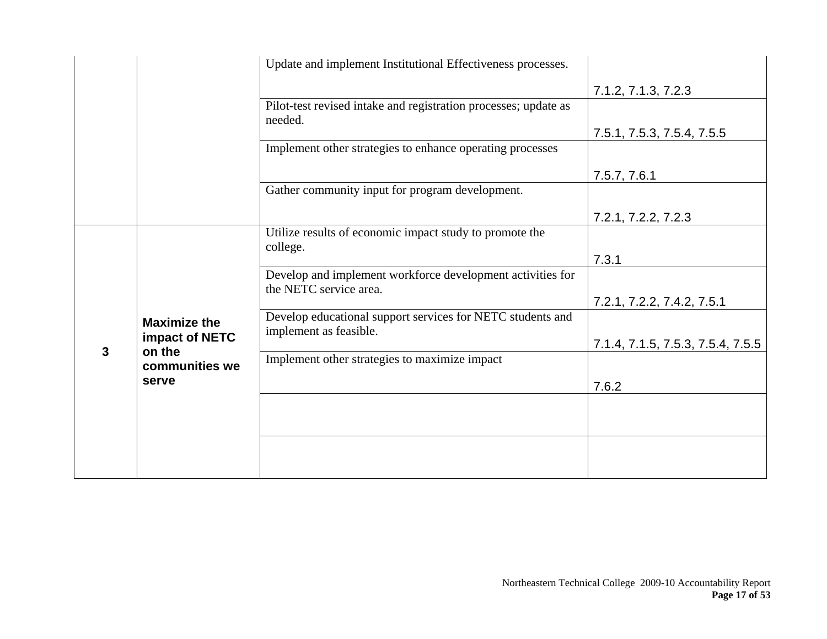|                     |                | Update and implement Institutional Effectiveness processes.                          |                                   |
|---------------------|----------------|--------------------------------------------------------------------------------------|-----------------------------------|
|                     |                |                                                                                      | 7.1.2, 7.1.3, 7.2.3               |
|                     |                | Pilot-test revised intake and registration processes; update as<br>needed.           |                                   |
|                     |                |                                                                                      | 7.5.1, 7.5.3, 7.5.4, 7.5.5        |
|                     |                | Implement other strategies to enhance operating processes                            |                                   |
|                     |                |                                                                                      | 7.5.7, 7.6.1                      |
|                     |                | Gather community input for program development.                                      |                                   |
|                     |                |                                                                                      | 7.2.1, 7.2.2, 7.2.3               |
|                     |                | Utilize results of economic impact study to promote the<br>college.                  |                                   |
|                     |                |                                                                                      | 7.3.1                             |
| <b>Maximize the</b> |                | Develop and implement workforce development activities for<br>the NETC service area. |                                   |
|                     |                | 7.2.1, 7.2.2, 7.4.2, 7.5.1                                                           |                                   |
|                     | impact of NETC | Develop educational support services for NETC students and<br>implement as feasible. |                                   |
| 3                   | on the         |                                                                                      | 7.1.4, 7.1.5, 7.5.3, 7.5.4, 7.5.5 |
|                     | communities we | Implement other strategies to maximize impact                                        |                                   |
|                     | serve          |                                                                                      | 7.6.2                             |
|                     |                |                                                                                      |                                   |
|                     |                |                                                                                      |                                   |
|                     |                |                                                                                      |                                   |
|                     |                |                                                                                      |                                   |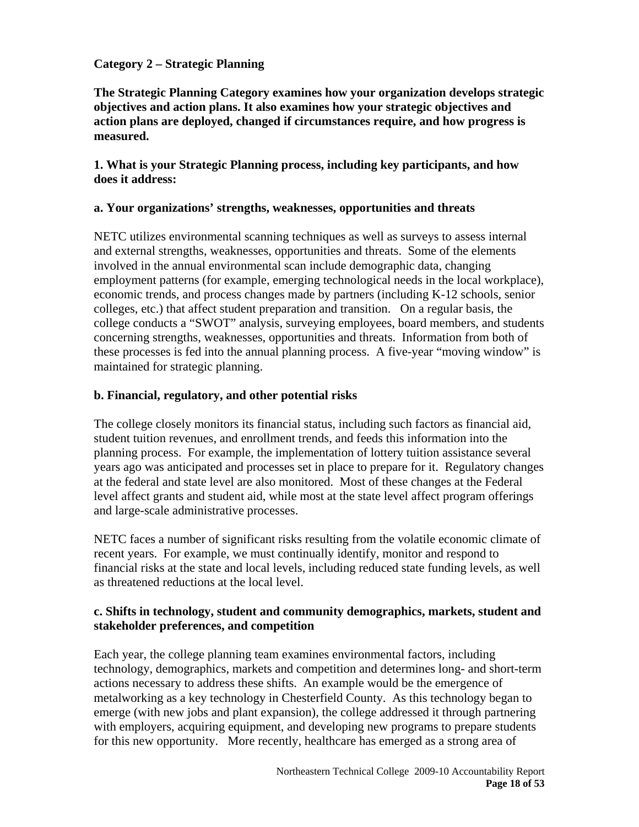#### **Category 2 – Strategic Planning**

**The Strategic Planning Category examines how your organization develops strategic objectives and action plans. It also examines how your strategic objectives and action plans are deployed, changed if circumstances require, and how progress is measured.** 

#### **1. What is your Strategic Planning process, including key participants, and how does it address:**

#### **a. Your organizations' strengths, weaknesses, opportunities and threats**

NETC utilizes environmental scanning techniques as well as surveys to assess internal and external strengths, weaknesses, opportunities and threats. Some of the elements involved in the annual environmental scan include demographic data, changing employment patterns (for example, emerging technological needs in the local workplace), economic trends, and process changes made by partners (including K-12 schools, senior colleges, etc.) that affect student preparation and transition. On a regular basis, the college conducts a "SWOT" analysis, surveying employees, board members, and students concerning strengths, weaknesses, opportunities and threats. Information from both of these processes is fed into the annual planning process. A five-year "moving window" is maintained for strategic planning.

#### **b. Financial, regulatory, and other potential risks**

The college closely monitors its financial status, including such factors as financial aid, student tuition revenues, and enrollment trends, and feeds this information into the planning process. For example, the implementation of lottery tuition assistance several years ago was anticipated and processes set in place to prepare for it. Regulatory changes at the federal and state level are also monitored. Most of these changes at the Federal level affect grants and student aid, while most at the state level affect program offerings and large-scale administrative processes.

NETC faces a number of significant risks resulting from the volatile economic climate of recent years. For example, we must continually identify, monitor and respond to financial risks at the state and local levels, including reduced state funding levels, as well as threatened reductions at the local level.

#### **c. Shifts in technology, student and community demographics, markets, student and stakeholder preferences, and competition**

Each year, the college planning team examines environmental factors, including technology, demographics, markets and competition and determines long- and short-term actions necessary to address these shifts. An example would be the emergence of metalworking as a key technology in Chesterfield County. As this technology began to emerge (with new jobs and plant expansion), the college addressed it through partnering with employers, acquiring equipment, and developing new programs to prepare students for this new opportunity. More recently, healthcare has emerged as a strong area of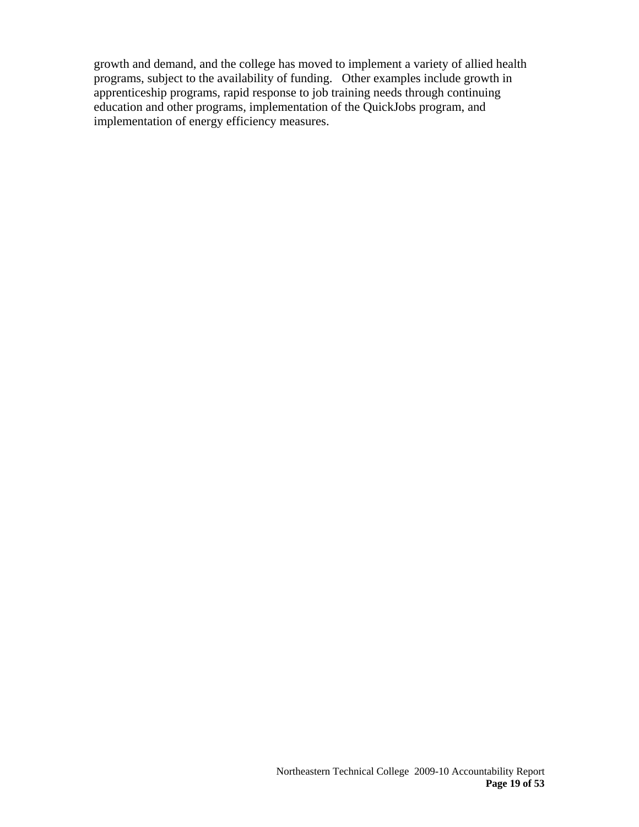growth and demand, and the college has moved to implement a variety of allied health programs, subject to the availability of funding. Other examples include growth in apprenticeship programs, rapid response to job training needs through continuing education and other programs, implementation of the QuickJobs program, and implementation of energy efficiency measures.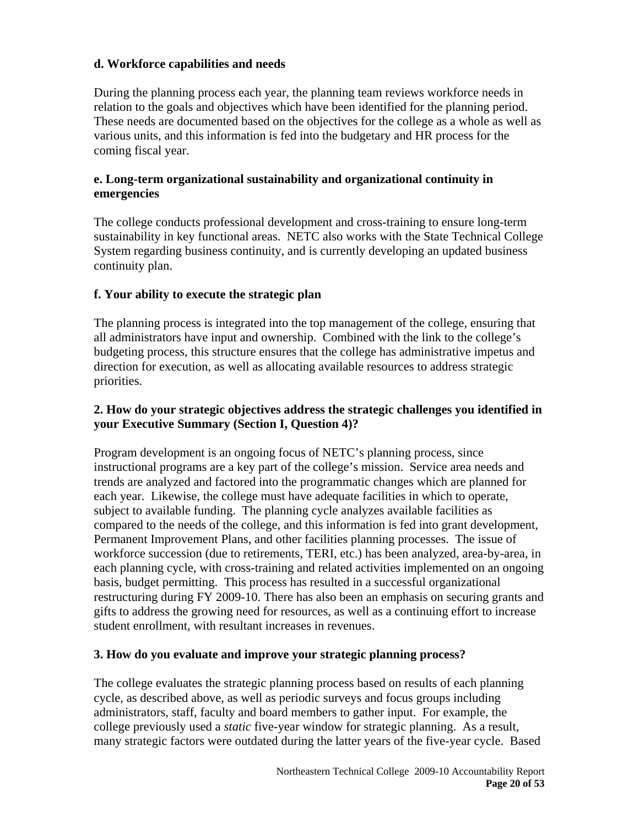# **d. Workforce capabilities and needs**

During the planning process each year, the planning team reviews workforce needs in relation to the goals and objectives which have been identified for the planning period. These needs are documented based on the objectives for the college as a whole as well as various units, and this information is fed into the budgetary and HR process for the coming fiscal year.

#### **e. Long-term organizational sustainability and organizational continuity in emergencies**

The college conducts professional development and cross-training to ensure long-term sustainability in key functional areas. NETC also works with the State Technical College System regarding business continuity, and is currently developing an updated business continuity plan.

## **f. Your ability to execute the strategic plan**

The planning process is integrated into the top management of the college, ensuring that all administrators have input and ownership. Combined with the link to the college's budgeting process, this structure ensures that the college has administrative impetus and direction for execution, as well as allocating available resources to address strategic priorities.

# **2. How do your strategic objectives address the strategic challenges you identified in your Executive Summary (Section I, Question 4)?**

Program development is an ongoing focus of NETC's planning process, since instructional programs are a key part of the college's mission. Service area needs and trends are analyzed and factored into the programmatic changes which are planned for each year. Likewise, the college must have adequate facilities in which to operate, subject to available funding. The planning cycle analyzes available facilities as compared to the needs of the college, and this information is fed into grant development, Permanent Improvement Plans, and other facilities planning processes. The issue of workforce succession (due to retirements, TERI, etc.) has been analyzed, area-by-area, in each planning cycle, with cross-training and related activities implemented on an ongoing basis, budget permitting. This process has resulted in a successful organizational restructuring during FY 2009-10. There has also been an emphasis on securing grants and gifts to address the growing need for resources, as well as a continuing effort to increase student enrollment, with resultant increases in revenues.

## **3. How do you evaluate and improve your strategic planning process?**

The college evaluates the strategic planning process based on results of each planning cycle, as described above, as well as periodic surveys and focus groups including administrators, staff, faculty and board members to gather input. For example, the college previously used a *static* five-year window for strategic planning. As a result, many strategic factors were outdated during the latter years of the five-year cycle. Based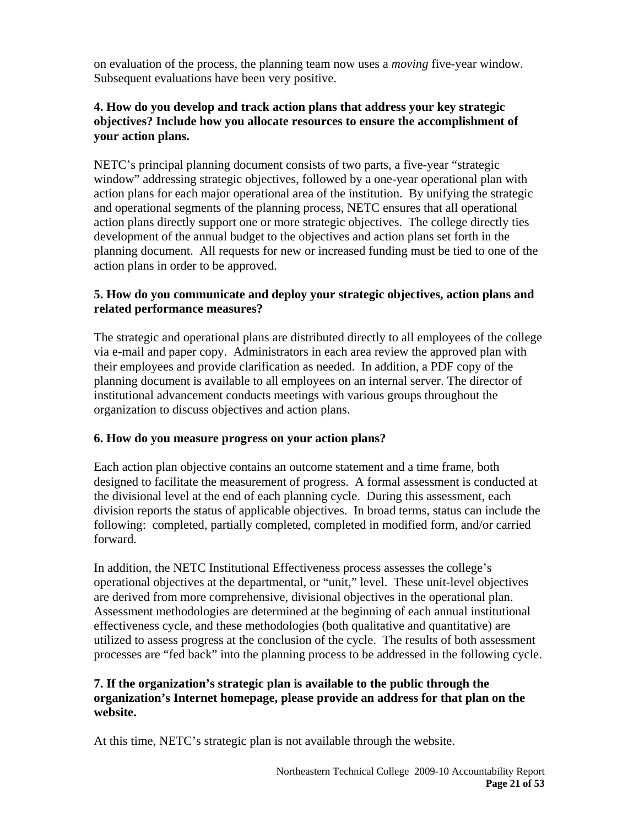on evaluation of the process, the planning team now uses a *moving* five-year window. Subsequent evaluations have been very positive.

## **4. How do you develop and track action plans that address your key strategic objectives? Include how you allocate resources to ensure the accomplishment of your action plans.**

NETC's principal planning document consists of two parts, a five-year "strategic window" addressing strategic objectives, followed by a one-year operational plan with action plans for each major operational area of the institution. By unifying the strategic and operational segments of the planning process, NETC ensures that all operational action plans directly support one or more strategic objectives. The college directly ties development of the annual budget to the objectives and action plans set forth in the planning document. All requests for new or increased funding must be tied to one of the action plans in order to be approved.

# **5. How do you communicate and deploy your strategic objectives, action plans and related performance measures?**

The strategic and operational plans are distributed directly to all employees of the college via e-mail and paper copy. Administrators in each area review the approved plan with their employees and provide clarification as needed. In addition, a PDF copy of the planning document is available to all employees on an internal server. The director of institutional advancement conducts meetings with various groups throughout the organization to discuss objectives and action plans.

# **6. How do you measure progress on your action plans?**

Each action plan objective contains an outcome statement and a time frame, both designed to facilitate the measurement of progress. A formal assessment is conducted at the divisional level at the end of each planning cycle. During this assessment, each division reports the status of applicable objectives. In broad terms, status can include the following: completed, partially completed, completed in modified form, and/or carried forward.

In addition, the NETC Institutional Effectiveness process assesses the college's operational objectives at the departmental, or "unit," level. These unit-level objectives are derived from more comprehensive, divisional objectives in the operational plan. Assessment methodologies are determined at the beginning of each annual institutional effectiveness cycle, and these methodologies (both qualitative and quantitative) are utilized to assess progress at the conclusion of the cycle. The results of both assessment processes are "fed back" into the planning process to be addressed in the following cycle.

# **7. If the organization's strategic plan is available to the public through the organization's Internet homepage, please provide an address for that plan on the website.**

At this time, NETC's strategic plan is not available through the website.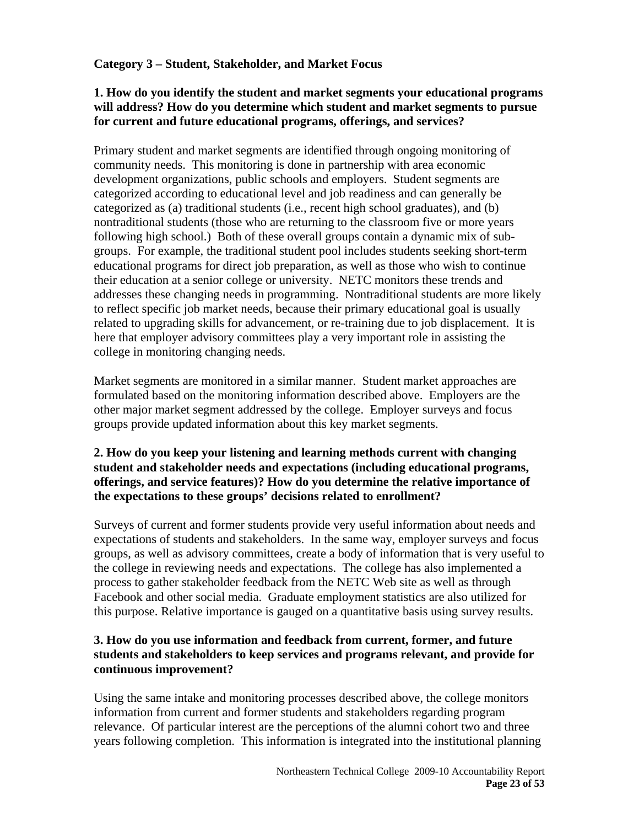# **Category 3 – Student, Stakeholder, and Market Focus**

### **1. How do you identify the student and market segments your educational programs will address? How do you determine which student and market segments to pursue for current and future educational programs, offerings, and services?**

Primary student and market segments are identified through ongoing monitoring of community needs. This monitoring is done in partnership with area economic development organizations, public schools and employers. Student segments are categorized according to educational level and job readiness and can generally be categorized as (a) traditional students (i.e., recent high school graduates), and (b) nontraditional students (those who are returning to the classroom five or more years following high school.) Both of these overall groups contain a dynamic mix of subgroups. For example, the traditional student pool includes students seeking short-term educational programs for direct job preparation, as well as those who wish to continue their education at a senior college or university. NETC monitors these trends and addresses these changing needs in programming. Nontraditional students are more likely to reflect specific job market needs, because their primary educational goal is usually related to upgrading skills for advancement, or re-training due to job displacement. It is here that employer advisory committees play a very important role in assisting the college in monitoring changing needs.

Market segments are monitored in a similar manner. Student market approaches are formulated based on the monitoring information described above. Employers are the other major market segment addressed by the college. Employer surveys and focus groups provide updated information about this key market segments.

## **2. How do you keep your listening and learning methods current with changing student and stakeholder needs and expectations (including educational programs, offerings, and service features)? How do you determine the relative importance of the expectations to these groups' decisions related to enrollment?**

Surveys of current and former students provide very useful information about needs and expectations of students and stakeholders. In the same way, employer surveys and focus groups, as well as advisory committees, create a body of information that is very useful to the college in reviewing needs and expectations. The college has also implemented a process to gather stakeholder feedback from the NETC Web site as well as through Facebook and other social media. Graduate employment statistics are also utilized for this purpose. Relative importance is gauged on a quantitative basis using survey results.

## **3. How do you use information and feedback from current, former, and future students and stakeholders to keep services and programs relevant, and provide for continuous improvement?**

Using the same intake and monitoring processes described above, the college monitors information from current and former students and stakeholders regarding program relevance. Of particular interest are the perceptions of the alumni cohort two and three years following completion. This information is integrated into the institutional planning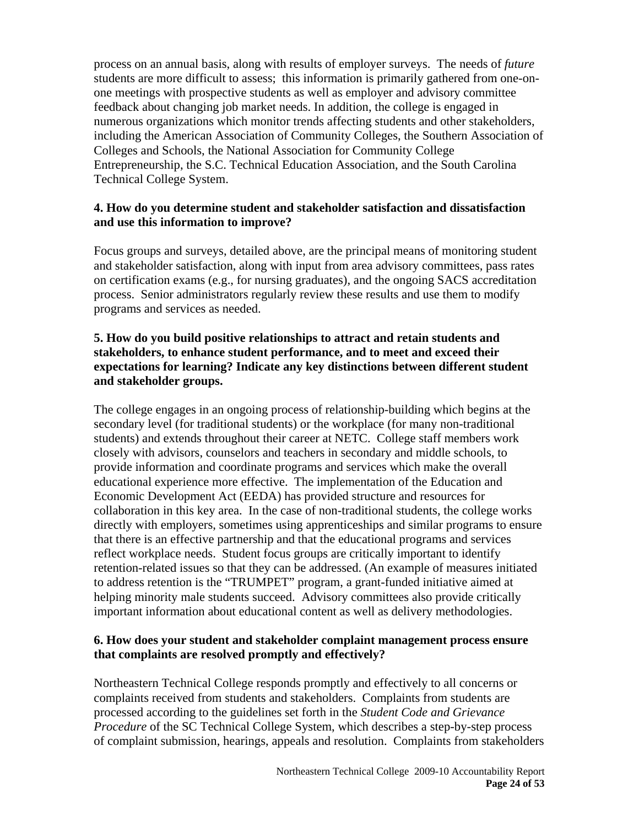process on an annual basis, along with results of employer surveys. The needs of *future* students are more difficult to assess; this information is primarily gathered from one-onone meetings with prospective students as well as employer and advisory committee feedback about changing job market needs. In addition, the college is engaged in numerous organizations which monitor trends affecting students and other stakeholders, including the American Association of Community Colleges, the Southern Association of Colleges and Schools, the National Association for Community College Entrepreneurship, the S.C. Technical Education Association, and the South Carolina Technical College System.

#### **4. How do you determine student and stakeholder satisfaction and dissatisfaction and use this information to improve?**

Focus groups and surveys, detailed above, are the principal means of monitoring student and stakeholder satisfaction, along with input from area advisory committees, pass rates on certification exams (e.g., for nursing graduates), and the ongoing SACS accreditation process. Senior administrators regularly review these results and use them to modify programs and services as needed.

## **5. How do you build positive relationships to attract and retain students and stakeholders, to enhance student performance, and to meet and exceed their expectations for learning? Indicate any key distinctions between different student and stakeholder groups.**

The college engages in an ongoing process of relationship-building which begins at the secondary level (for traditional students) or the workplace (for many non-traditional students) and extends throughout their career at NETC. College staff members work closely with advisors, counselors and teachers in secondary and middle schools, to provide information and coordinate programs and services which make the overall educational experience more effective. The implementation of the Education and Economic Development Act (EEDA) has provided structure and resources for collaboration in this key area. In the case of non-traditional students, the college works directly with employers, sometimes using apprenticeships and similar programs to ensure that there is an effective partnership and that the educational programs and services reflect workplace needs. Student focus groups are critically important to identify retention-related issues so that they can be addressed. (An example of measures initiated to address retention is the "TRUMPET" program, a grant-funded initiative aimed at helping minority male students succeed. Advisory committees also provide critically important information about educational content as well as delivery methodologies.

#### **6. How does your student and stakeholder complaint management process ensure that complaints are resolved promptly and effectively?**

Northeastern Technical College responds promptly and effectively to all concerns or complaints received from students and stakeholders. Complaints from students are processed according to the guidelines set forth in the *Student Code and Grievance Procedure* of the SC Technical College System, which describes a step-by-step process of complaint submission, hearings, appeals and resolution. Complaints from stakeholders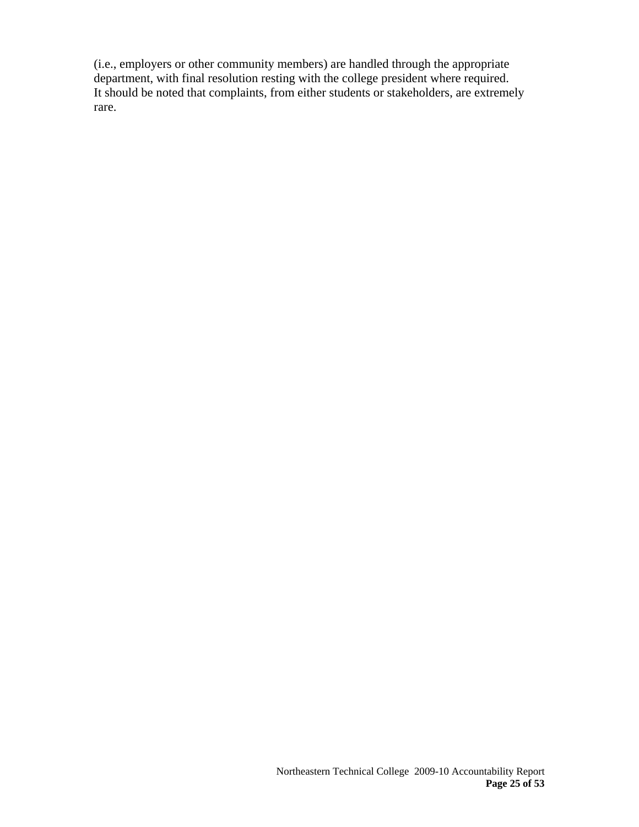(i.e., employers or other community members) are handled through the appropriate department, with final resolution resting with the college president where required. It should be noted that complaints, from either students or stakeholders, are extremely rare.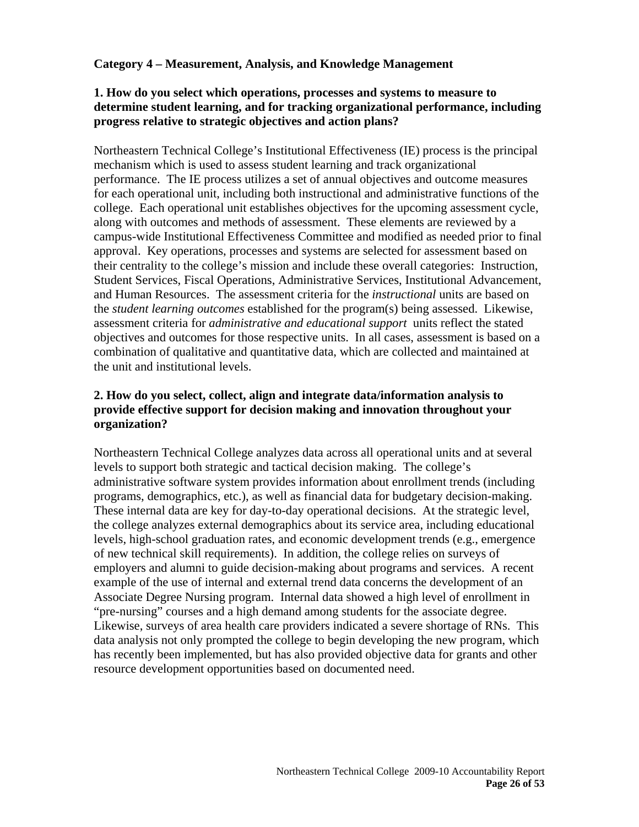#### **Category 4 – Measurement, Analysis, and Knowledge Management**

#### **1. How do you select which operations, processes and systems to measure to determine student learning, and for tracking organizational performance, including progress relative to strategic objectives and action plans?**

Northeastern Technical College's Institutional Effectiveness (IE) process is the principal mechanism which is used to assess student learning and track organizational performance. The IE process utilizes a set of annual objectives and outcome measures for each operational unit, including both instructional and administrative functions of the college. Each operational unit establishes objectives for the upcoming assessment cycle, along with outcomes and methods of assessment. These elements are reviewed by a campus-wide Institutional Effectiveness Committee and modified as needed prior to final approval. Key operations, processes and systems are selected for assessment based on their centrality to the college's mission and include these overall categories: Instruction, Student Services, Fiscal Operations, Administrative Services, Institutional Advancement, and Human Resources. The assessment criteria for the *instructional* units are based on the *student learning outcomes* established for the program(s) being assessed. Likewise, assessment criteria for *administrative and educational support* units reflect the stated objectives and outcomes for those respective units. In all cases, assessment is based on a combination of qualitative and quantitative data, which are collected and maintained at the unit and institutional levels.

#### **2. How do you select, collect, align and integrate data/information analysis to provide effective support for decision making and innovation throughout your organization?**

Northeastern Technical College analyzes data across all operational units and at several levels to support both strategic and tactical decision making. The college's administrative software system provides information about enrollment trends (including programs, demographics, etc.), as well as financial data for budgetary decision-making. These internal data are key for day-to-day operational decisions. At the strategic level, the college analyzes external demographics about its service area, including educational levels, high-school graduation rates, and economic development trends (e.g., emergence of new technical skill requirements). In addition, the college relies on surveys of employers and alumni to guide decision-making about programs and services. A recent example of the use of internal and external trend data concerns the development of an Associate Degree Nursing program. Internal data showed a high level of enrollment in "pre-nursing" courses and a high demand among students for the associate degree. Likewise, surveys of area health care providers indicated a severe shortage of RNs. This data analysis not only prompted the college to begin developing the new program, which has recently been implemented, but has also provided objective data for grants and other resource development opportunities based on documented need.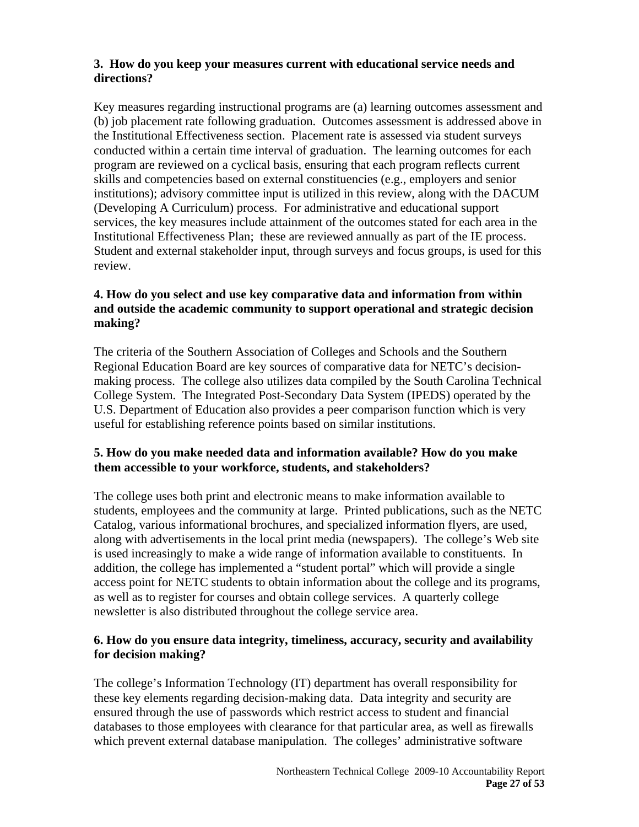## **3. How do you keep your measures current with educational service needs and directions?**

Key measures regarding instructional programs are (a) learning outcomes assessment and (b) job placement rate following graduation. Outcomes assessment is addressed above in the Institutional Effectiveness section. Placement rate is assessed via student surveys conducted within a certain time interval of graduation. The learning outcomes for each program are reviewed on a cyclical basis, ensuring that each program reflects current skills and competencies based on external constituencies (e.g., employers and senior institutions); advisory committee input is utilized in this review, along with the DACUM (Developing A Curriculum) process. For administrative and educational support services, the key measures include attainment of the outcomes stated for each area in the Institutional Effectiveness Plan; these are reviewed annually as part of the IE process. Student and external stakeholder input, through surveys and focus groups, is used for this review.

## **4. How do you select and use key comparative data and information from within and outside the academic community to support operational and strategic decision making?**

The criteria of the Southern Association of Colleges and Schools and the Southern Regional Education Board are key sources of comparative data for NETC's decisionmaking process. The college also utilizes data compiled by the South Carolina Technical College System. The Integrated Post-Secondary Data System (IPEDS) operated by the U.S. Department of Education also provides a peer comparison function which is very useful for establishing reference points based on similar institutions.

# **5. How do you make needed data and information available? How do you make them accessible to your workforce, students, and stakeholders?**

The college uses both print and electronic means to make information available to students, employees and the community at large. Printed publications, such as the NETC Catalog, various informational brochures, and specialized information flyers, are used, along with advertisements in the local print media (newspapers). The college's Web site is used increasingly to make a wide range of information available to constituents. In addition, the college has implemented a "student portal" which will provide a single access point for NETC students to obtain information about the college and its programs, as well as to register for courses and obtain college services. A quarterly college newsletter is also distributed throughout the college service area.

## **6. How do you ensure data integrity, timeliness, accuracy, security and availability for decision making?**

The college's Information Technology (IT) department has overall responsibility for these key elements regarding decision-making data. Data integrity and security are ensured through the use of passwords which restrict access to student and financial databases to those employees with clearance for that particular area, as well as firewalls which prevent external database manipulation. The colleges' administrative software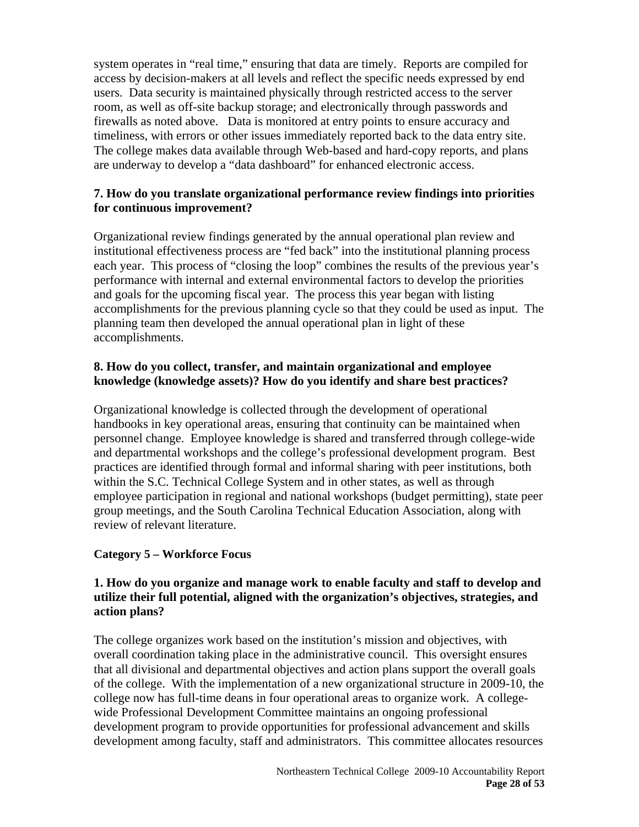system operates in "real time," ensuring that data are timely. Reports are compiled for access by decision-makers at all levels and reflect the specific needs expressed by end users. Data security is maintained physically through restricted access to the server room, as well as off-site backup storage; and electronically through passwords and firewalls as noted above. Data is monitored at entry points to ensure accuracy and timeliness, with errors or other issues immediately reported back to the data entry site. The college makes data available through Web-based and hard-copy reports, and plans are underway to develop a "data dashboard" for enhanced electronic access.

# **7. How do you translate organizational performance review findings into priorities for continuous improvement?**

Organizational review findings generated by the annual operational plan review and institutional effectiveness process are "fed back" into the institutional planning process each year. This process of "closing the loop" combines the results of the previous year's performance with internal and external environmental factors to develop the priorities and goals for the upcoming fiscal year. The process this year began with listing accomplishments for the previous planning cycle so that they could be used as input. The planning team then developed the annual operational plan in light of these accomplishments.

## **8. How do you collect, transfer, and maintain organizational and employee knowledge (knowledge assets)? How do you identify and share best practices?**

Organizational knowledge is collected through the development of operational handbooks in key operational areas, ensuring that continuity can be maintained when personnel change. Employee knowledge is shared and transferred through college-wide and departmental workshops and the college's professional development program. Best practices are identified through formal and informal sharing with peer institutions, both within the S.C. Technical College System and in other states, as well as through employee participation in regional and national workshops (budget permitting), state peer group meetings, and the South Carolina Technical Education Association, along with review of relevant literature.

## **Category 5 – Workforce Focus**

# **1. How do you organize and manage work to enable faculty and staff to develop and utilize their full potential, aligned with the organization's objectives, strategies, and action plans?**

The college organizes work based on the institution's mission and objectives, with overall coordination taking place in the administrative council. This oversight ensures that all divisional and departmental objectives and action plans support the overall goals of the college. With the implementation of a new organizational structure in 2009-10, the college now has full-time deans in four operational areas to organize work. A collegewide Professional Development Committee maintains an ongoing professional development program to provide opportunities for professional advancement and skills development among faculty, staff and administrators. This committee allocates resources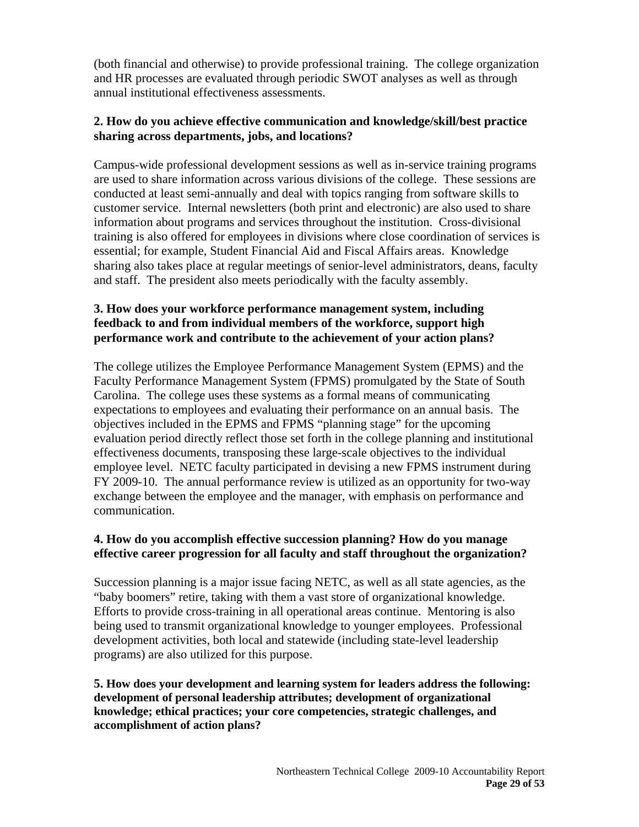(both financial and otherwise) to provide professional training. The college organization and HR processes are evaluated through periodic SWOT analyses as well as through annual institutional effectiveness assessments.

## **2. How do you achieve effective communication and knowledge/skill/best practice sharing across departments, jobs, and locations?**

Campus-wide professional development sessions as well as in-service training programs are used to share information across various divisions of the college. These sessions are conducted at least semi-annually and deal with topics ranging from software skills to customer service. Internal newsletters (both print and electronic) are also used to share information about programs and services throughout the institution. Cross-divisional training is also offered for employees in divisions where close coordination of services is essential; for example, Student Financial Aid and Fiscal Affairs areas. Knowledge sharing also takes place at regular meetings of senior-level administrators, deans, faculty and staff. The president also meets periodically with the faculty assembly.

# **3. How does your workforce performance management system, including feedback to and from individual members of the workforce, support high performance work and contribute to the achievement of your action plans?**

The college utilizes the Employee Performance Management System (EPMS) and the Faculty Performance Management System (FPMS) promulgated by the State of South Carolina. The college uses these systems as a formal means of communicating expectations to employees and evaluating their performance on an annual basis. The objectives included in the EPMS and FPMS "planning stage" for the upcoming evaluation period directly reflect those set forth in the college planning and institutional effectiveness documents, transposing these large-scale objectives to the individual employee level. NETC faculty participated in devising a new FPMS instrument during FY 2009-10. The annual performance review is utilized as an opportunity for two-way exchange between the employee and the manager, with emphasis on performance and communication.

## **4. How do you accomplish effective succession planning? How do you manage effective career progression for all faculty and staff throughout the organization?**

Succession planning is a major issue facing NETC, as well as all state agencies, as the "baby boomers" retire, taking with them a vast store of organizational knowledge. Efforts to provide cross-training in all operational areas continue. Mentoring is also being used to transmit organizational knowledge to younger employees. Professional development activities, both local and statewide (including state-level leadership programs) are also utilized for this purpose.

#### **5. How does your development and learning system for leaders address the following: development of personal leadership attributes; development of organizational knowledge; ethical practices; your core competencies, strategic challenges, and accomplishment of action plans?**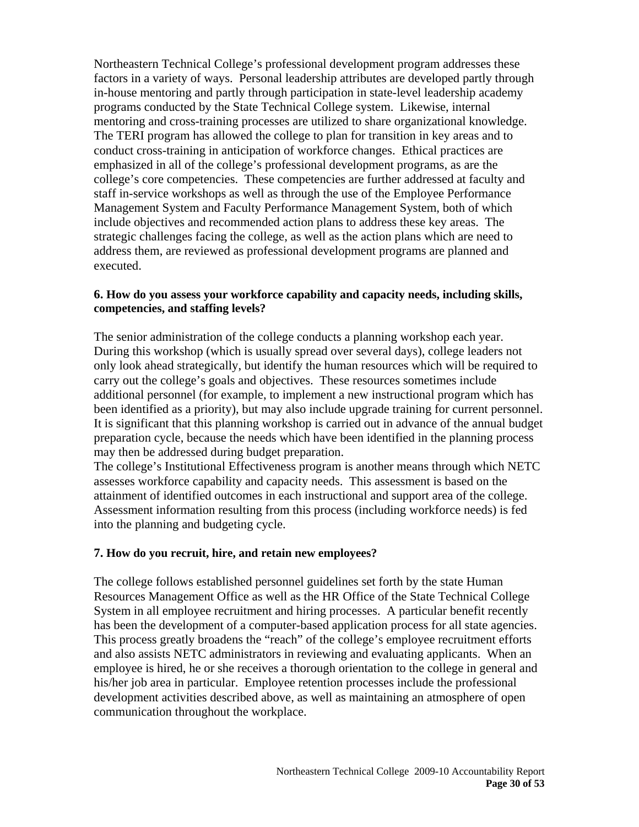Northeastern Technical College's professional development program addresses these factors in a variety of ways. Personal leadership attributes are developed partly through in-house mentoring and partly through participation in state-level leadership academy programs conducted by the State Technical College system. Likewise, internal mentoring and cross-training processes are utilized to share organizational knowledge. The TERI program has allowed the college to plan for transition in key areas and to conduct cross-training in anticipation of workforce changes. Ethical practices are emphasized in all of the college's professional development programs, as are the college's core competencies. These competencies are further addressed at faculty and staff in-service workshops as well as through the use of the Employee Performance Management System and Faculty Performance Management System, both of which include objectives and recommended action plans to address these key areas. The strategic challenges facing the college, as well as the action plans which are need to address them, are reviewed as professional development programs are planned and executed.

#### **6. How do you assess your workforce capability and capacity needs, including skills, competencies, and staffing levels?**

The senior administration of the college conducts a planning workshop each year. During this workshop (which is usually spread over several days), college leaders not only look ahead strategically, but identify the human resources which will be required to carry out the college's goals and objectives. These resources sometimes include additional personnel (for example, to implement a new instructional program which has been identified as a priority), but may also include upgrade training for current personnel. It is significant that this planning workshop is carried out in advance of the annual budget preparation cycle, because the needs which have been identified in the planning process may then be addressed during budget preparation.

The college's Institutional Effectiveness program is another means through which NETC assesses workforce capability and capacity needs. This assessment is based on the attainment of identified outcomes in each instructional and support area of the college. Assessment information resulting from this process (including workforce needs) is fed into the planning and budgeting cycle.

#### **7. How do you recruit, hire, and retain new employees?**

The college follows established personnel guidelines set forth by the state Human Resources Management Office as well as the HR Office of the State Technical College System in all employee recruitment and hiring processes. A particular benefit recently has been the development of a computer-based application process for all state agencies. This process greatly broadens the "reach" of the college's employee recruitment efforts and also assists NETC administrators in reviewing and evaluating applicants. When an employee is hired, he or she receives a thorough orientation to the college in general and his/her job area in particular. Employee retention processes include the professional development activities described above, as well as maintaining an atmosphere of open communication throughout the workplace.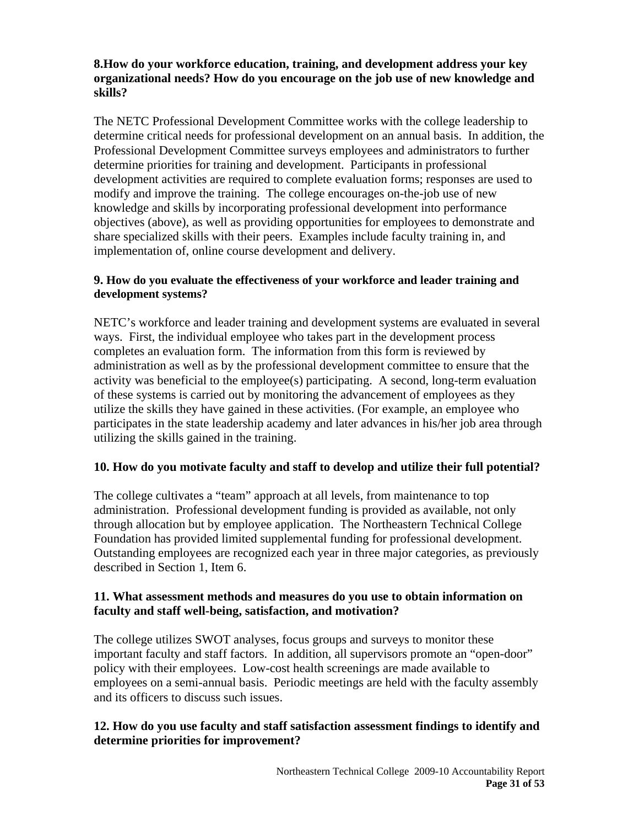### **8.How do your workforce education, training, and development address your key organizational needs? How do you encourage on the job use of new knowledge and skills?**

The NETC Professional Development Committee works with the college leadership to determine critical needs for professional development on an annual basis. In addition, the Professional Development Committee surveys employees and administrators to further determine priorities for training and development. Participants in professional development activities are required to complete evaluation forms; responses are used to modify and improve the training. The college encourages on-the-job use of new knowledge and skills by incorporating professional development into performance objectives (above), as well as providing opportunities for employees to demonstrate and share specialized skills with their peers. Examples include faculty training in, and implementation of, online course development and delivery.

#### **9. How do you evaluate the effectiveness of your workforce and leader training and development systems?**

NETC's workforce and leader training and development systems are evaluated in several ways. First, the individual employee who takes part in the development process completes an evaluation form. The information from this form is reviewed by administration as well as by the professional development committee to ensure that the activity was beneficial to the employee(s) participating. A second, long-term evaluation of these systems is carried out by monitoring the advancement of employees as they utilize the skills they have gained in these activities. (For example, an employee who participates in the state leadership academy and later advances in his/her job area through utilizing the skills gained in the training.

## **10. How do you motivate faculty and staff to develop and utilize their full potential?**

The college cultivates a "team" approach at all levels, from maintenance to top administration. Professional development funding is provided as available, not only through allocation but by employee application. The Northeastern Technical College Foundation has provided limited supplemental funding for professional development. Outstanding employees are recognized each year in three major categories, as previously described in Section 1, Item 6.

## **11. What assessment methods and measures do you use to obtain information on faculty and staff well-being, satisfaction, and motivation?**

The college utilizes SWOT analyses, focus groups and surveys to monitor these important faculty and staff factors. In addition, all supervisors promote an "open-door" policy with their employees. Low-cost health screenings are made available to employees on a semi-annual basis. Periodic meetings are held with the faculty assembly and its officers to discuss such issues.

# **12. How do you use faculty and staff satisfaction assessment findings to identify and determine priorities for improvement?**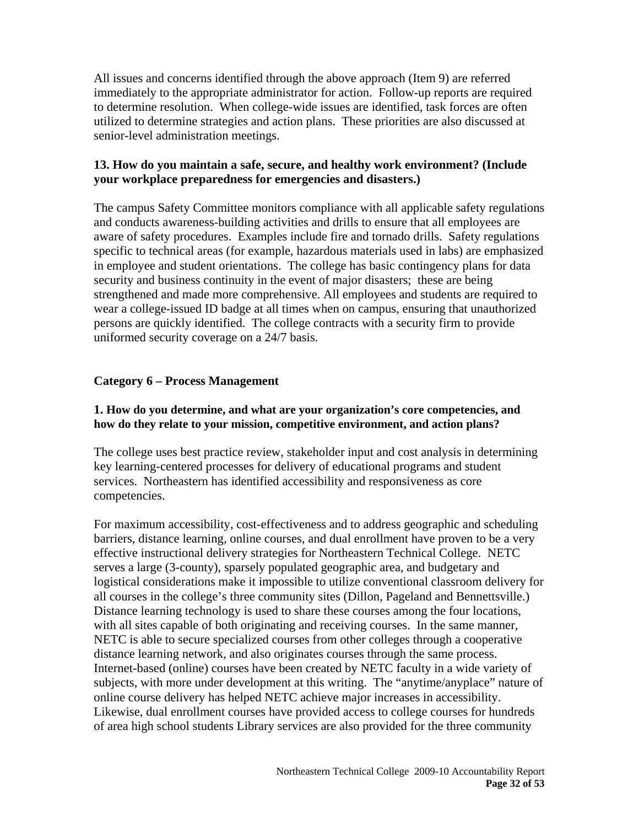All issues and concerns identified through the above approach (Item 9) are referred immediately to the appropriate administrator for action. Follow-up reports are required to determine resolution. When college-wide issues are identified, task forces are often utilized to determine strategies and action plans. These priorities are also discussed at senior-level administration meetings.

### **13. How do you maintain a safe, secure, and healthy work environment? (Include your workplace preparedness for emergencies and disasters.)**

The campus Safety Committee monitors compliance with all applicable safety regulations and conducts awareness-building activities and drills to ensure that all employees are aware of safety procedures. Examples include fire and tornado drills. Safety regulations specific to technical areas (for example, hazardous materials used in labs) are emphasized in employee and student orientations. The college has basic contingency plans for data security and business continuity in the event of major disasters; these are being strengthened and made more comprehensive. All employees and students are required to wear a college-issued ID badge at all times when on campus, ensuring that unauthorized persons are quickly identified. The college contracts with a security firm to provide uniformed security coverage on a 24/7 basis.

## **Category 6 – Process Management**

#### **1. How do you determine, and what are your organization's core competencies, and how do they relate to your mission, competitive environment, and action plans?**

The college uses best practice review, stakeholder input and cost analysis in determining key learning-centered processes for delivery of educational programs and student services. Northeastern has identified accessibility and responsiveness as core competencies.

For maximum accessibility, cost-effectiveness and to address geographic and scheduling barriers, distance learning, online courses, and dual enrollment have proven to be a very effective instructional delivery strategies for Northeastern Technical College. NETC serves a large (3-county), sparsely populated geographic area, and budgetary and logistical considerations make it impossible to utilize conventional classroom delivery for all courses in the college's three community sites (Dillon, Pageland and Bennettsville.) Distance learning technology is used to share these courses among the four locations, with all sites capable of both originating and receiving courses. In the same manner, NETC is able to secure specialized courses from other colleges through a cooperative distance learning network, and also originates courses through the same process. Internet-based (online) courses have been created by NETC faculty in a wide variety of subjects, with more under development at this writing. The "anytime/anyplace" nature of online course delivery has helped NETC achieve major increases in accessibility. Likewise, dual enrollment courses have provided access to college courses for hundreds of area high school students Library services are also provided for the three community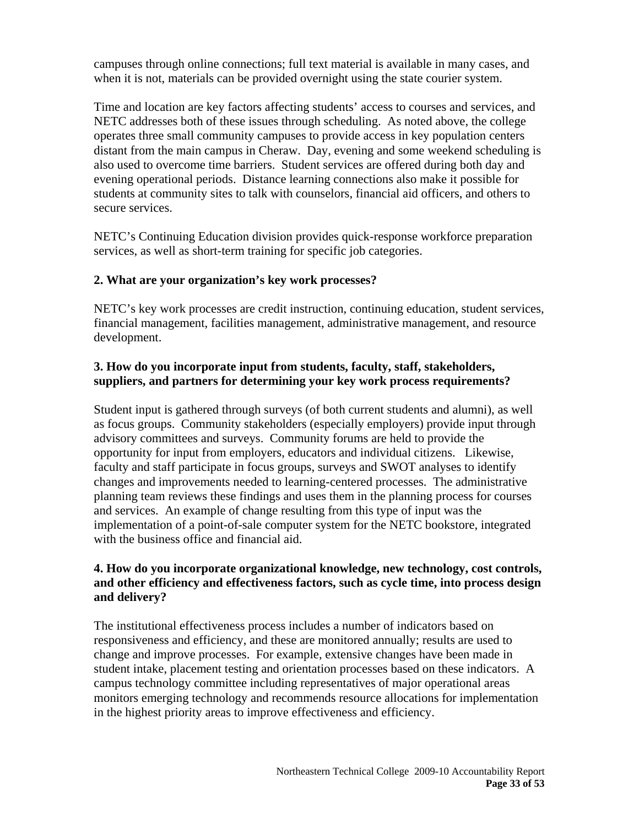campuses through online connections; full text material is available in many cases, and when it is not, materials can be provided overnight using the state courier system.

Time and location are key factors affecting students' access to courses and services, and NETC addresses both of these issues through scheduling. As noted above, the college operates three small community campuses to provide access in key population centers distant from the main campus in Cheraw. Day, evening and some weekend scheduling is also used to overcome time barriers. Student services are offered during both day and evening operational periods. Distance learning connections also make it possible for students at community sites to talk with counselors, financial aid officers, and others to secure services.

NETC's Continuing Education division provides quick-response workforce preparation services, as well as short-term training for specific job categories.

## **2. What are your organization's key work processes?**

NETC's key work processes are credit instruction, continuing education, student services, financial management, facilities management, administrative management, and resource development.

## **3. How do you incorporate input from students, faculty, staff, stakeholders, suppliers, and partners for determining your key work process requirements?**

Student input is gathered through surveys (of both current students and alumni), as well as focus groups. Community stakeholders (especially employers) provide input through advisory committees and surveys. Community forums are held to provide the opportunity for input from employers, educators and individual citizens. Likewise, faculty and staff participate in focus groups, surveys and SWOT analyses to identify changes and improvements needed to learning-centered processes. The administrative planning team reviews these findings and uses them in the planning process for courses and services. An example of change resulting from this type of input was the implementation of a point-of-sale computer system for the NETC bookstore, integrated with the business office and financial aid.

# **4. How do you incorporate organizational knowledge, new technology, cost controls, and other efficiency and effectiveness factors, such as cycle time, into process design and delivery?**

The institutional effectiveness process includes a number of indicators based on responsiveness and efficiency, and these are monitored annually; results are used to change and improve processes. For example, extensive changes have been made in student intake, placement testing and orientation processes based on these indicators. A campus technology committee including representatives of major operational areas monitors emerging technology and recommends resource allocations for implementation in the highest priority areas to improve effectiveness and efficiency.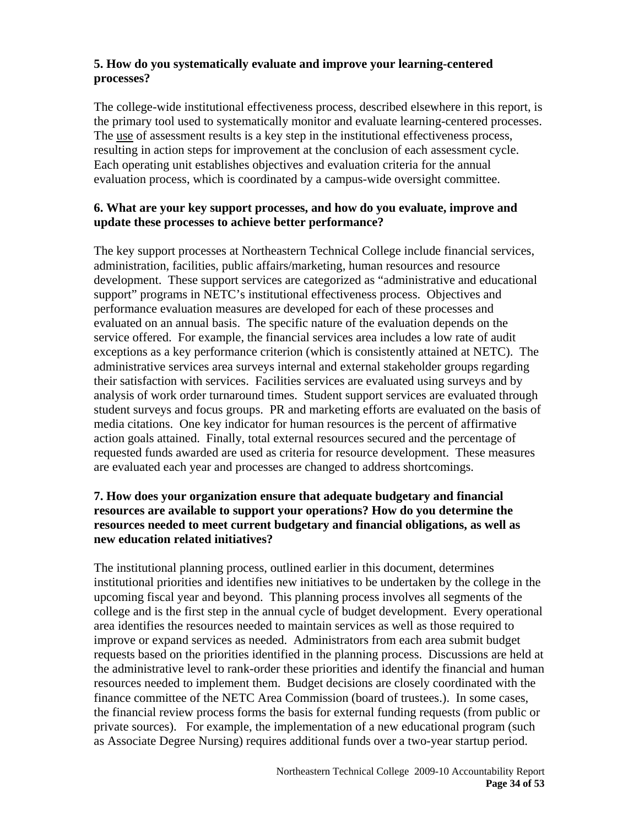# **5. How do you systematically evaluate and improve your learning-centered processes?**

The college-wide institutional effectiveness process, described elsewhere in this report, is the primary tool used to systematically monitor and evaluate learning-centered processes. The use of assessment results is a key step in the institutional effectiveness process, resulting in action steps for improvement at the conclusion of each assessment cycle. Each operating unit establishes objectives and evaluation criteria for the annual evaluation process, which is coordinated by a campus-wide oversight committee.

#### **6. What are your key support processes, and how do you evaluate, improve and update these processes to achieve better performance?**

The key support processes at Northeastern Technical College include financial services, administration, facilities, public affairs/marketing, human resources and resource development. These support services are categorized as "administrative and educational support" programs in NETC's institutional effectiveness process. Objectives and performance evaluation measures are developed for each of these processes and evaluated on an annual basis. The specific nature of the evaluation depends on the service offered. For example, the financial services area includes a low rate of audit exceptions as a key performance criterion (which is consistently attained at NETC). The administrative services area surveys internal and external stakeholder groups regarding their satisfaction with services. Facilities services are evaluated using surveys and by analysis of work order turnaround times. Student support services are evaluated through student surveys and focus groups. PR and marketing efforts are evaluated on the basis of media citations. One key indicator for human resources is the percent of affirmative action goals attained. Finally, total external resources secured and the percentage of requested funds awarded are used as criteria for resource development. These measures are evaluated each year and processes are changed to address shortcomings.

#### **7. How does your organization ensure that adequate budgetary and financial resources are available to support your operations? How do you determine the resources needed to meet current budgetary and financial obligations, as well as new education related initiatives?**

The institutional planning process, outlined earlier in this document, determines institutional priorities and identifies new initiatives to be undertaken by the college in the upcoming fiscal year and beyond. This planning process involves all segments of the college and is the first step in the annual cycle of budget development. Every operational area identifies the resources needed to maintain services as well as those required to improve or expand services as needed. Administrators from each area submit budget requests based on the priorities identified in the planning process. Discussions are held at the administrative level to rank-order these priorities and identify the financial and human resources needed to implement them. Budget decisions are closely coordinated with the finance committee of the NETC Area Commission (board of trustees.). In some cases, the financial review process forms the basis for external funding requests (from public or private sources). For example, the implementation of a new educational program (such as Associate Degree Nursing) requires additional funds over a two-year startup period.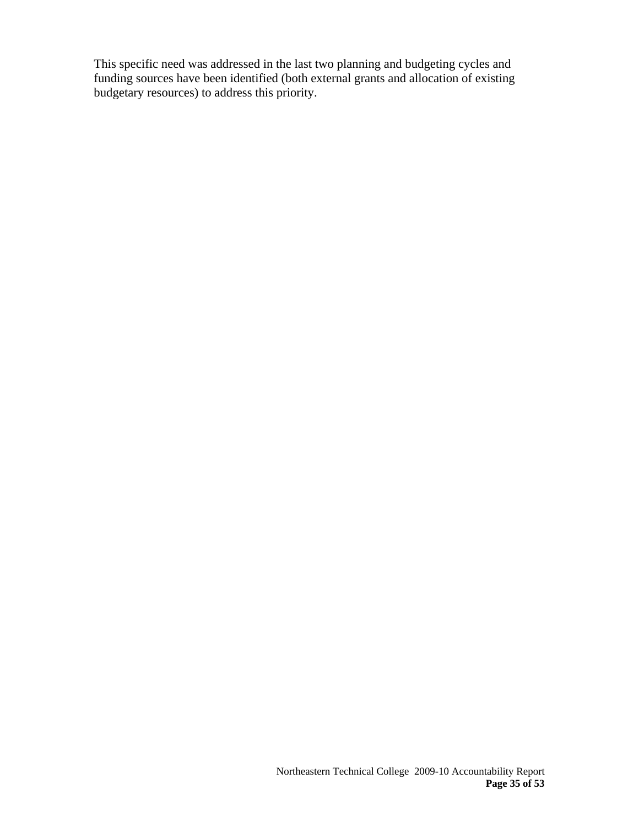This specific need was addressed in the last two planning and budgeting cycles and funding sources have been identified (both external grants and allocation of existing budgetary resources) to address this priority.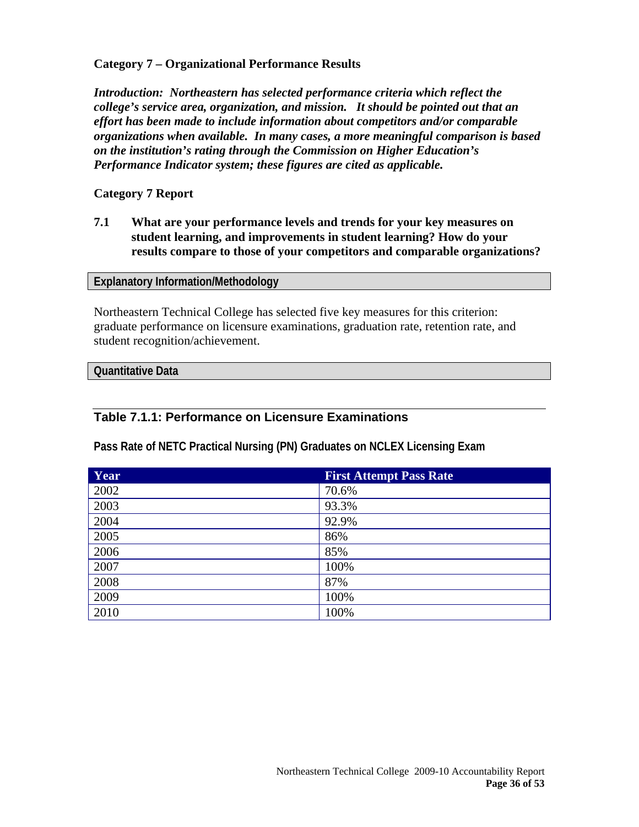#### **Category 7 – Organizational Performance Results**

*Introduction: Northeastern has selected performance criteria which reflect the college's service area, organization, and mission. It should be pointed out that an effort has been made to include information about competitors and/or comparable organizations when available. In many cases, a more meaningful comparison is based on the institution's rating through the Commission on Higher Education's Performance Indicator system; these figures are cited as applicable.* 

#### **Category 7 Report**

**7.1 What are your performance levels and trends for your key measures on student learning, and improvements in student learning? How do your results compare to those of your competitors and comparable organizations?** 

#### **Explanatory Information/Methodology**

Northeastern Technical College has selected five key measures for this criterion: graduate performance on licensure examinations, graduation rate, retention rate, and student recognition/achievement.

#### **Quantitative Data**

## **Table 7.1.1: Performance on Licensure Examinations**

**Pass Rate of NETC Practical Nursing (PN) Graduates on NCLEX Licensing Exam** 

| Year | <b>First Attempt Pass Rate</b> |
|------|--------------------------------|
| 2002 | 70.6%                          |
| 2003 | 93.3%                          |
| 2004 | 92.9%                          |
| 2005 | 86%                            |
| 2006 | 85%                            |
| 2007 | 100%                           |
| 2008 | 87%                            |
| 2009 | 100%                           |
| 2010 | 100%                           |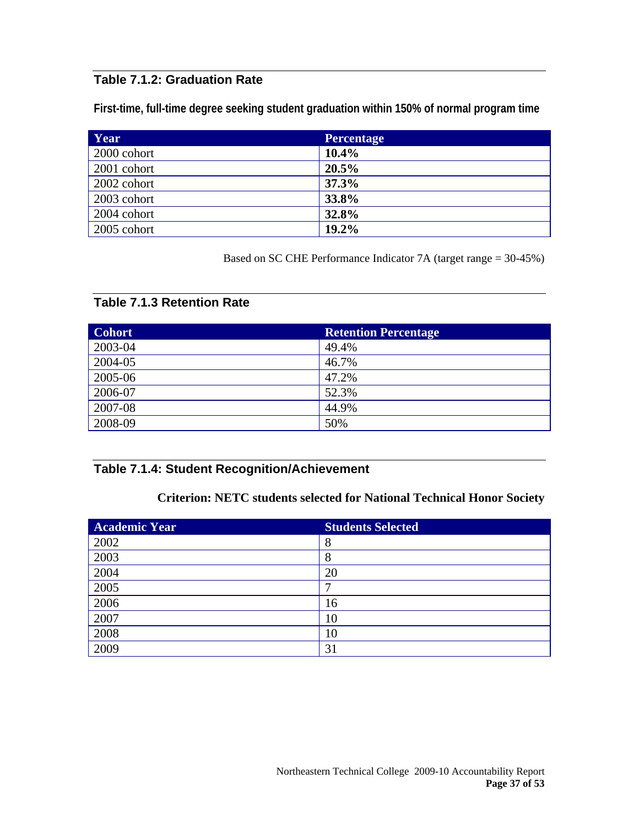# **Table 7.1.2: Graduation Rate**

**First-time, full-time degree seeking student graduation within 150% of normal program time** 

| Year        | <b>Percentage</b> |
|-------------|-------------------|
| 2000 cohort | 10.4%             |
| 2001 cohort | 20.5%             |
| 2002 cohort | 37.3%             |
| 2003 cohort | 33.8%             |
| 2004 cohort | 32.8%             |
| 2005 cohort | 19.2%             |

Based on SC CHE Performance Indicator 7A (target range = 30-45%)

#### **Table 7.1.3 Retention Rate**

| <b>Cohort</b> | <b>Retention Percentage</b> |
|---------------|-----------------------------|
| 2003-04       | 49.4%                       |
| 2004-05       | 46.7%                       |
| 2005-06       | 47.2%                       |
| 2006-07       | 52.3%                       |
| 2007-08       | 44.9%                       |
| 2008-09       | 50%                         |

# **Table 7.1.4: Student Recognition/Achievement**

# **Criterion: NETC students selected for National Technical Honor Society**

| <b>Academic Year</b> | <b>Students Selected</b> |
|----------------------|--------------------------|
| 2002                 | 8                        |
| 2003                 | Ω                        |
| 2004                 | 20                       |
| 2005                 |                          |
| 2006                 | 16                       |
| 2007                 | 10                       |
| 2008                 | 10                       |
| 2009                 | 31                       |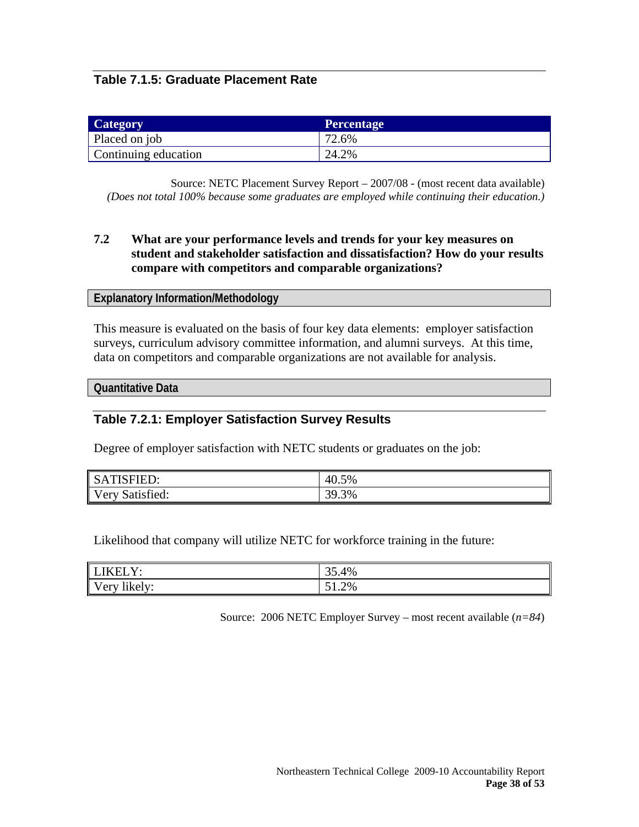# **Table 7.1.5: Graduate Placement Rate**

| Category             | <b>Percentage</b> |
|----------------------|-------------------|
| Placed on job        | $12.6\%$          |
| Continuing education | 24.2%             |

Source: NETC Placement Survey Report – 2007/08 - (most recent data available) *(Does not total 100% because some graduates are employed while continuing their education.)*

#### **7.2 What are your performance levels and trends for your key measures on student and stakeholder satisfaction and dissatisfaction? How do your results compare with competitors and comparable organizations?**

#### **Explanatory Information/Methodology**

This measure is evaluated on the basis of four key data elements: employer satisfaction surveys, curriculum advisory committee information, and alumni surveys. At this time, data on competitors and comparable organizations are not available for analysis.

**Quantitative Data** 

#### **Table 7.2.1: Employer Satisfaction Survey Results**

Degree of employer satisfaction with NETC students or graduates on the job:

| SATISFIED:      | 40.5% |
|-----------------|-------|
| Very Satisfied: | 39.3% |

Likelihood that company will utilize NETC for workforce training in the future:

| LIKELY:      | 35.4%    |
|--------------|----------|
| Very likely: | $51.2\%$ |

Source: 2006 NETC Employer Survey – most recent available (*n=84*)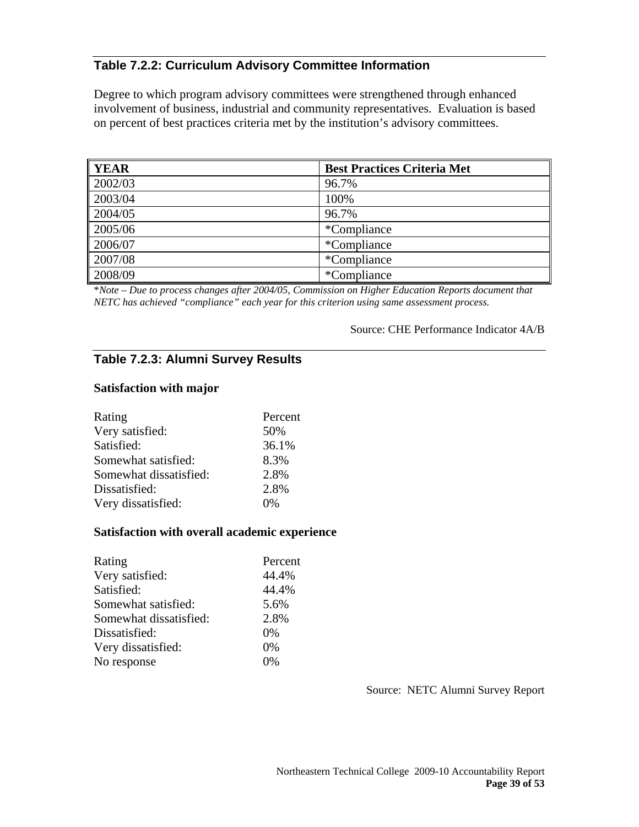# **Table 7.2.2: Curriculum Advisory Committee Information**

Degree to which program advisory committees were strengthened through enhanced involvement of business, industrial and community representatives. Evaluation is based on percent of best practices criteria met by the institution's advisory committees.

| <b>YEAR</b>           | <b>Best Practices Criteria Met</b> |
|-----------------------|------------------------------------|
| 2002/03               | 96.7%                              |
| 2003/04               | 100%                               |
| 2004/05               | 96.7%                              |
| $\vert 2005/06 \vert$ | *Compliance                        |
| 2006/07               | *Compliance                        |
| 2007/08               | *Compliance                        |
| 2008/09               | *Compliance                        |

\**Note – Due to process changes after 2004/05, Commission on Higher Education Reports document that NETC has achieved "compliance" each year for this criterion using same assessment process.* 

#### Source: CHE Performance Indicator 4A/B

# **Table 7.2.3: Alumni Survey Results**

#### **Satisfaction with major**

| Rating                 | Percent |
|------------------------|---------|
| Very satisfied:        | 50%     |
| Satisfied:             | 36.1%   |
| Somewhat satisfied:    | 8.3%    |
| Somewhat dissatisfied: | 2.8%    |
| Dissatisfied:          | 2.8%    |
| Very dissatisfied:     | 0%      |

#### **Satisfaction with overall academic experience**

| Rating                 | Percent |
|------------------------|---------|
| Very satisfied:        | 44.4%   |
| Satisfied:             | 44.4%   |
| Somewhat satisfied:    | 5.6%    |
| Somewhat dissatisfied: | 2.8%    |
| Dissatisfied:          | $0\%$   |
| Very dissatisfied:     | $0\%$   |
| No response            | 0%      |

Source: NETC Alumni Survey Report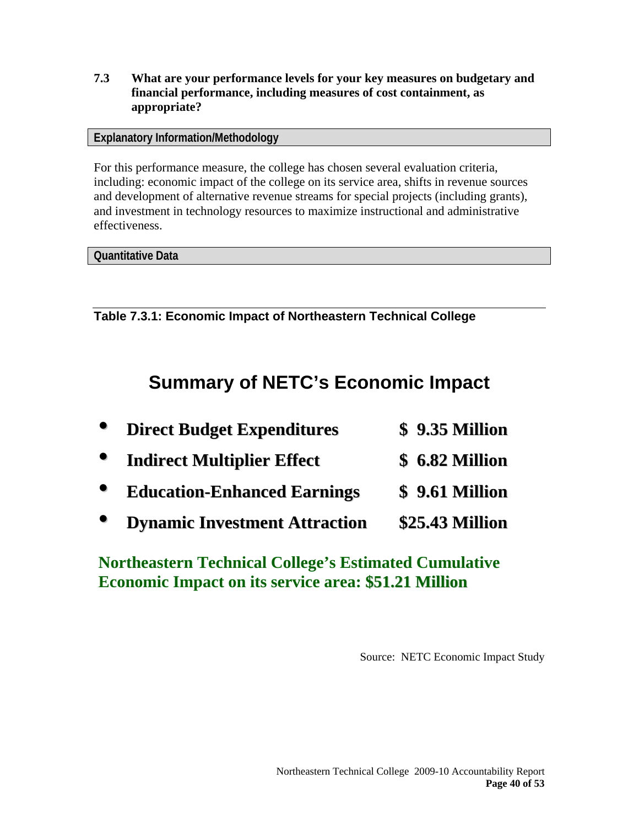**7.3 What are your performance levels for your key measures on budgetary and financial performance, including measures of cost containment, as appropriate?** 

**Explanatory Information/Methodology** 

For this performance measure, the college has chosen several evaluation criteria, including: economic impact of the college on its service area, shifts in revenue sources and development of alternative revenue streams for special projects (including grants), and investment in technology resources to maximize instructional and administrative effectiveness.

**Quantitative Data** 

**Table 7.3.1: Economic Impact of Northeastern Technical College** 

# **Summary of NETC's Economic Impact**

| <b>Direct Budget Expenditures</b>    | <b>\$ 9.35 Million</b> |
|--------------------------------------|------------------------|
| <b>Indirect Multiplier Effect</b>    | <b>\$ 6.82 Million</b> |
| <b>Education-Enhanced Earnings</b>   | <b>\$</b> 9.61 Million |
| <b>Dynamic Investment Attraction</b> | \$25.43 Million        |

**Northeastern Technical College's Estimated Cumulative Economic Impact on its service area: \$51.21 Million**

Source: NETC Economic Impact Study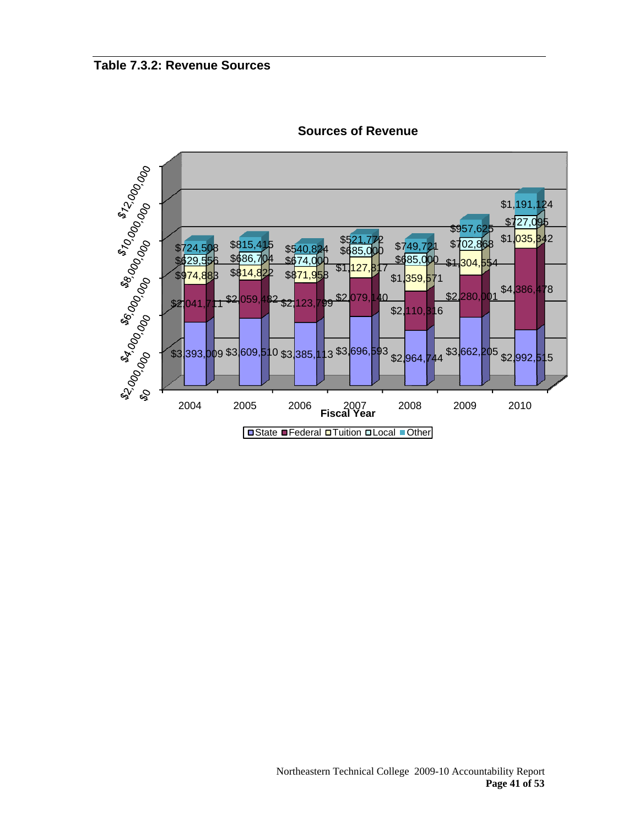

**Sources of Revenue**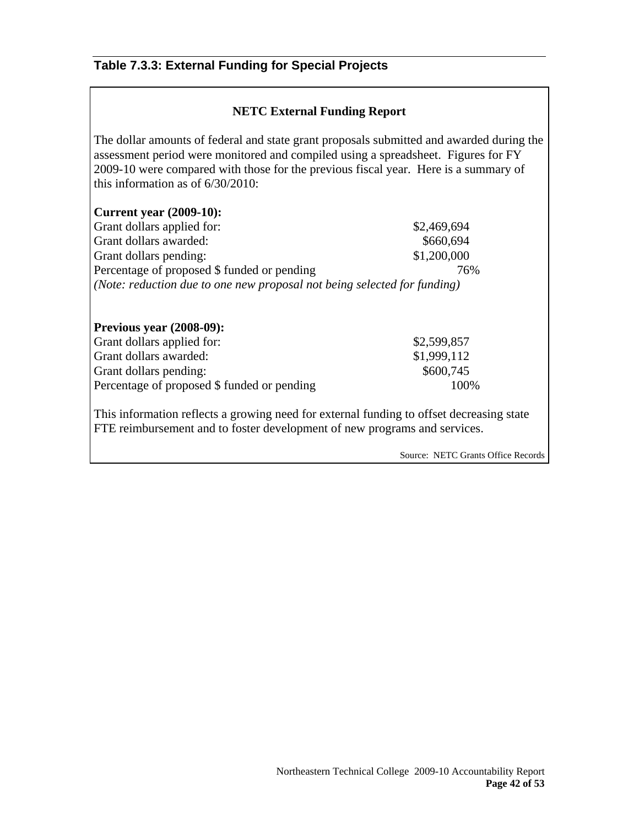# **Table 7.3.3: External Funding for Special Projects**

# **NETC External Funding Report**

The dollar amounts of federal and state grant proposals submitted and awarded during the assessment period were monitored and compiled using a spreadsheet. Figures for FY 2009-10 were compared with those for the previous fiscal year. Here is a summary of this information as of 6/30/2010:

#### **Current year (2009-10):**

Grant dollars applied for:  $$2,469,694$ Grant dollars awarded:  $$660,694$ Grant dollars pending:  $$1,200,000$ Percentage of proposed \$ funded or pending 76% *(Note: reduction due to one new proposal not being selected for funding)* 

| <b>Previous year (2008-09):</b>             |             |
|---------------------------------------------|-------------|
| Grant dollars applied for:                  | \$2,599,857 |
| Grant dollars awarded:                      | \$1,999,112 |
| Grant dollars pending:                      | \$600,745   |
| Percentage of proposed \$ funded or pending | 100\%       |

This information reflects a growing need for external funding to offset decreasing state FTE reimbursement and to foster development of new programs and services.

Source: NETC Grants Office Records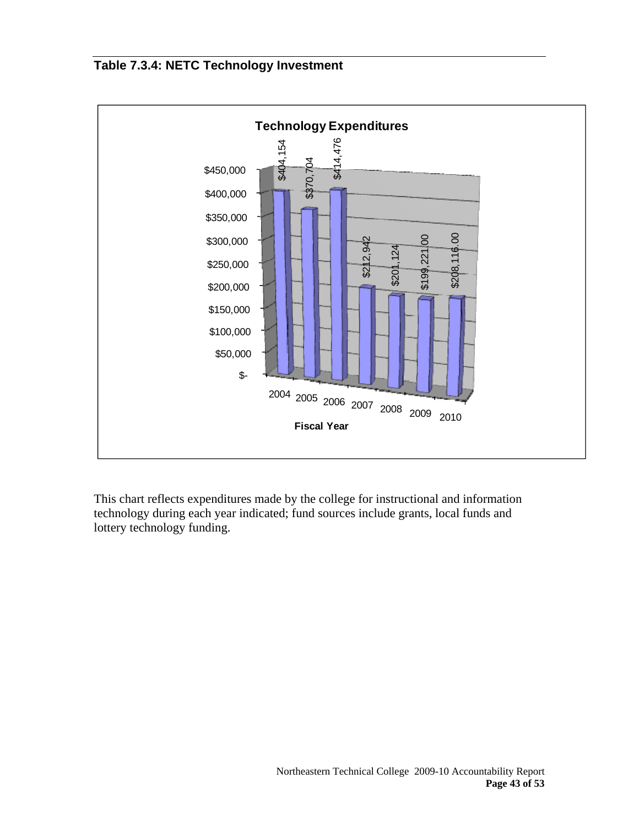# **Table 7.3.4: NETC Technology Investment**



This chart reflects expenditures made by the college for instructional and information technology during each year indicated; fund sources include grants, local funds and lottery technology funding.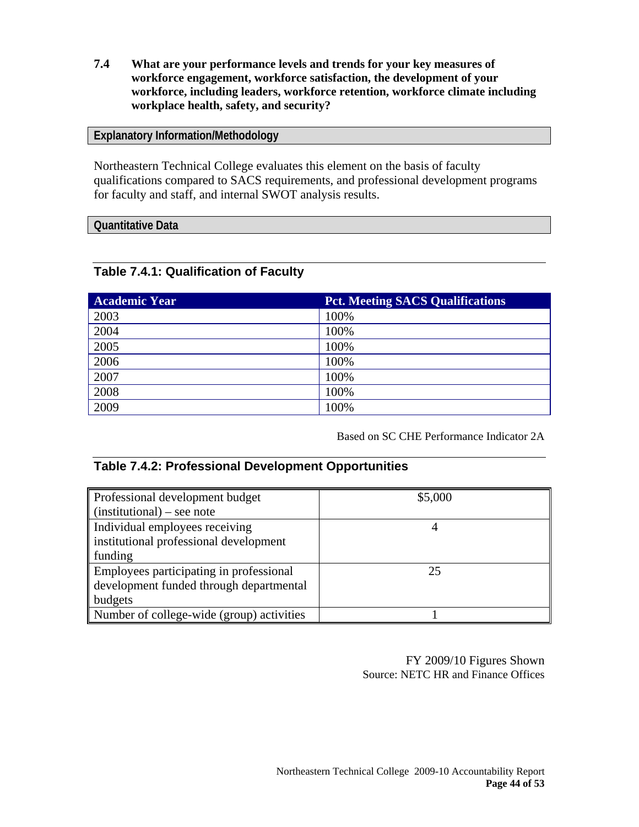**7.4 What are your performance levels and trends for your key measures of workforce engagement, workforce satisfaction, the development of your workforce, including leaders, workforce retention, workforce climate including workplace health, safety, and security?**

#### **Explanatory Information/Methodology**

Northeastern Technical College evaluates this element on the basis of faculty qualifications compared to SACS requirements, and professional development programs for faculty and staff, and internal SWOT analysis results.

#### **Quantitative Data**

## **Table 7.4.1: Qualification of Faculty**

| <b>Academic Year</b> | <b>Pct. Meeting SACS Qualifications</b> |
|----------------------|-----------------------------------------|
| 2003                 | 100%                                    |
| 2004                 | 100%                                    |
| 2005                 | 100%                                    |
| 2006                 | 100%                                    |
| 2007                 | 100%                                    |
| 2008                 | 100%                                    |
| 2009                 | 100%                                    |

Based on SC CHE Performance Indicator 2A

## **Table 7.4.2: Professional Development Opportunities**

| Professional development budget                 | \$5,000 |
|-------------------------------------------------|---------|
| $\sin\left(\text{intational}\right)$ - see note |         |
| Individual employees receiving                  |         |
| institutional professional development          |         |
| funding                                         |         |
| Employees participating in professional         | 25      |
| development funded through departmental         |         |
| budgets                                         |         |
| Number of college-wide (group) activities       |         |

FY 2009/10 Figures Shown Source: NETC HR and Finance Offices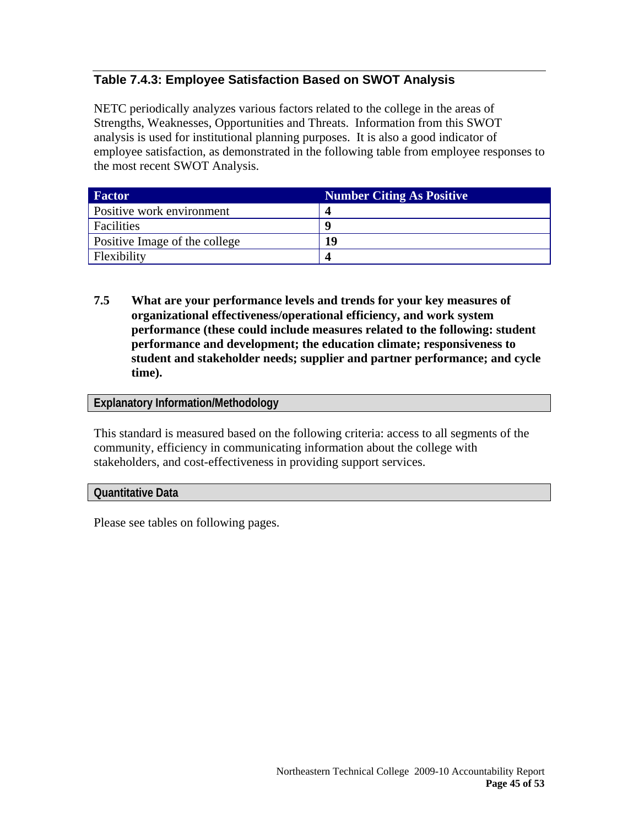# **Table 7.4.3: Employee Satisfaction Based on SWOT Analysis**

NETC periodically analyzes various factors related to the college in the areas of Strengths, Weaknesses, Opportunities and Threats. Information from this SWOT analysis is used for institutional planning purposes. It is also a good indicator of employee satisfaction, as demonstrated in the following table from employee responses to the most recent SWOT Analysis.

| <b>Factor</b>                 | <b>Number Citing As Positive</b> |
|-------------------------------|----------------------------------|
| Positive work environment     |                                  |
| Facilities                    | q                                |
| Positive Image of the college | l Q                              |
| Flexibility                   |                                  |

**7.5 What are your performance levels and trends for your key measures of organizational effectiveness/operational efficiency, and work system performance (these could include measures related to the following: student performance and development; the education climate; responsiveness to student and stakeholder needs; supplier and partner performance; and cycle time).** 

#### **Explanatory Information/Methodology**

This standard is measured based on the following criteria: access to all segments of the community, efficiency in communicating information about the college with stakeholders, and cost-effectiveness in providing support services.

#### **Quantitative Data**

Please see tables on following pages.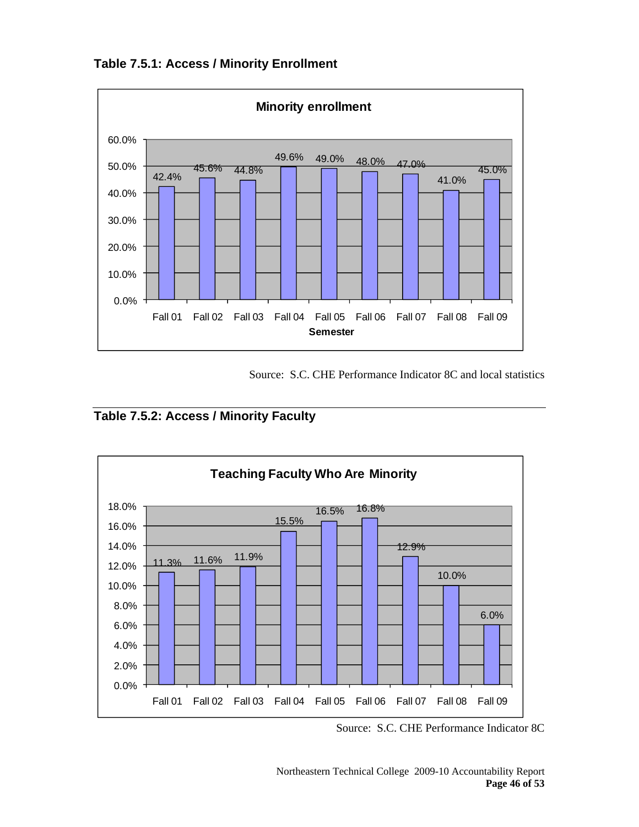**Table 7.5.1: Access / Minority Enrollment** 



Source: S.C. CHE Performance Indicator 8C and local statistics





Source: S.C. CHE Performance Indicator 8C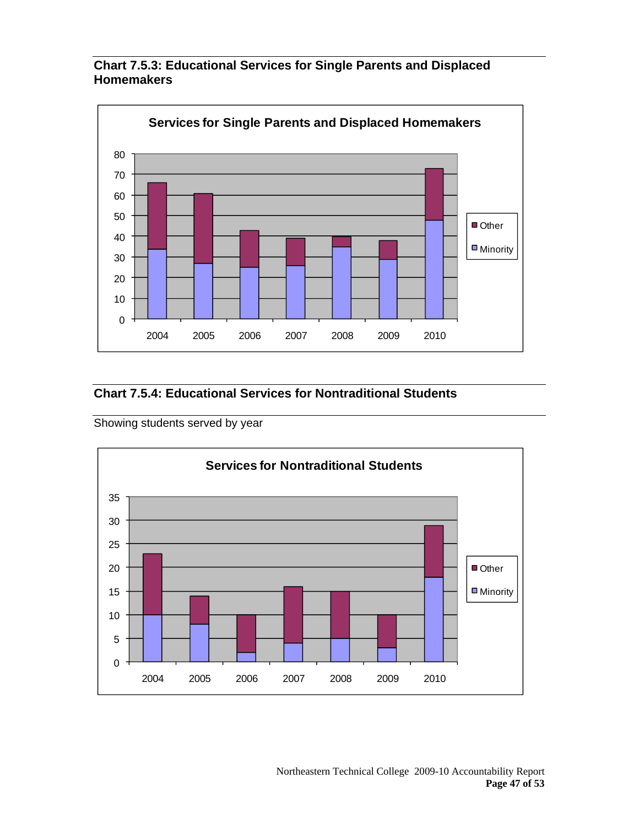![](_page_46_Figure_0.jpeg)

# **Chart 7.5.3: Educational Services for Single Parents and Displaced Homemakers**

# **Chart 7.5.4: Educational Services for Nontraditional Students**

Showing students served by year

![](_page_46_Figure_4.jpeg)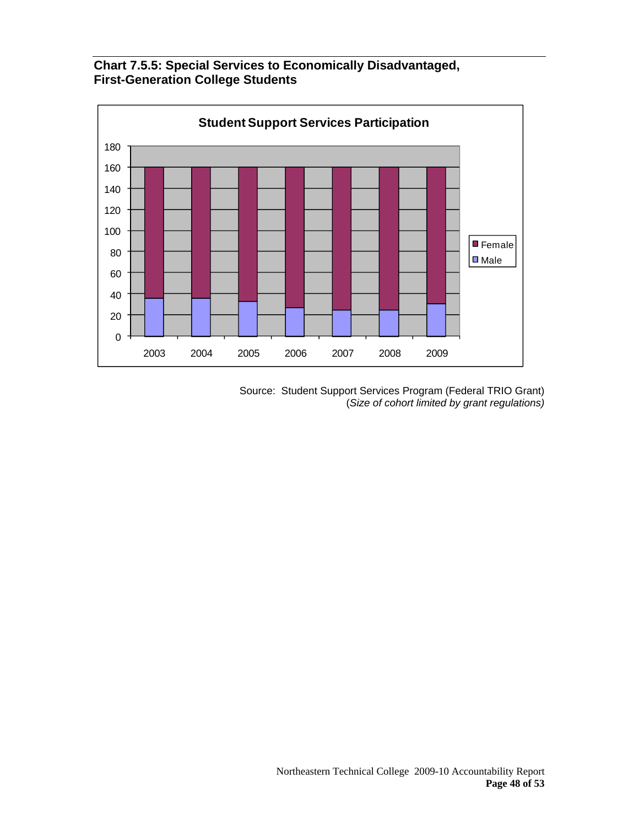**Chart 7.5.5: Special Services to Economically Disadvantaged, First-Generation College Students** 

![](_page_47_Figure_1.jpeg)

Source: Student Support Services Program (Federal TRIO Grant) (*Size of cohort limited by grant regulations)*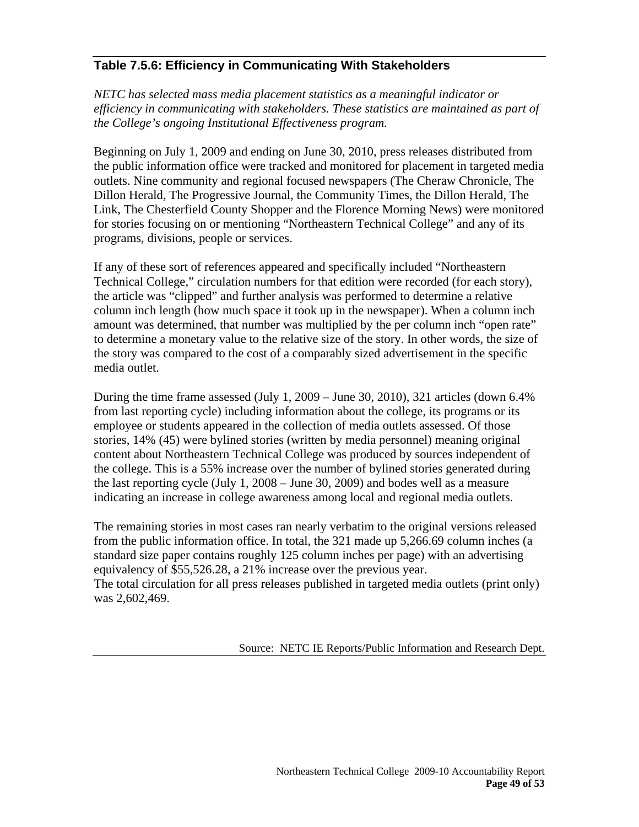# **Table 7.5.6: Efficiency in Communicating With Stakeholders**

*NETC has selected mass media placement statistics as a meaningful indicator or efficiency in communicating with stakeholders. These statistics are maintained as part of the College's ongoing Institutional Effectiveness program.* 

Beginning on July 1, 2009 and ending on June 30, 2010, press releases distributed from the public information office were tracked and monitored for placement in targeted media outlets. Nine community and regional focused newspapers (The Cheraw Chronicle, The Dillon Herald, The Progressive Journal, the Community Times, the Dillon Herald, The Link, The Chesterfield County Shopper and the Florence Morning News) were monitored for stories focusing on or mentioning "Northeastern Technical College" and any of its programs, divisions, people or services.

If any of these sort of references appeared and specifically included "Northeastern Technical College," circulation numbers for that edition were recorded (for each story), the article was "clipped" and further analysis was performed to determine a relative column inch length (how much space it took up in the newspaper). When a column inch amount was determined, that number was multiplied by the per column inch "open rate" to determine a monetary value to the relative size of the story. In other words, the size of the story was compared to the cost of a comparably sized advertisement in the specific media outlet.

During the time frame assessed (July 1, 2009 – June 30, 2010), 321 articles (down 6.4% from last reporting cycle) including information about the college, its programs or its employee or students appeared in the collection of media outlets assessed. Of those stories, 14% (45) were bylined stories (written by media personnel) meaning original content about Northeastern Technical College was produced by sources independent of the college. This is a 55% increase over the number of bylined stories generated during the last reporting cycle (July 1, 2008 – June 30, 2009) and bodes well as a measure indicating an increase in college awareness among local and regional media outlets.

The remaining stories in most cases ran nearly verbatim to the original versions released from the public information office. In total, the 321 made up 5,266.69 column inches (a standard size paper contains roughly 125 column inches per page) with an advertising equivalency of \$55,526.28, a 21% increase over the previous year. The total circulation for all press releases published in targeted media outlets (print only) was 2,602,469.

Source: NETC IE Reports/Public Information and Research Dept.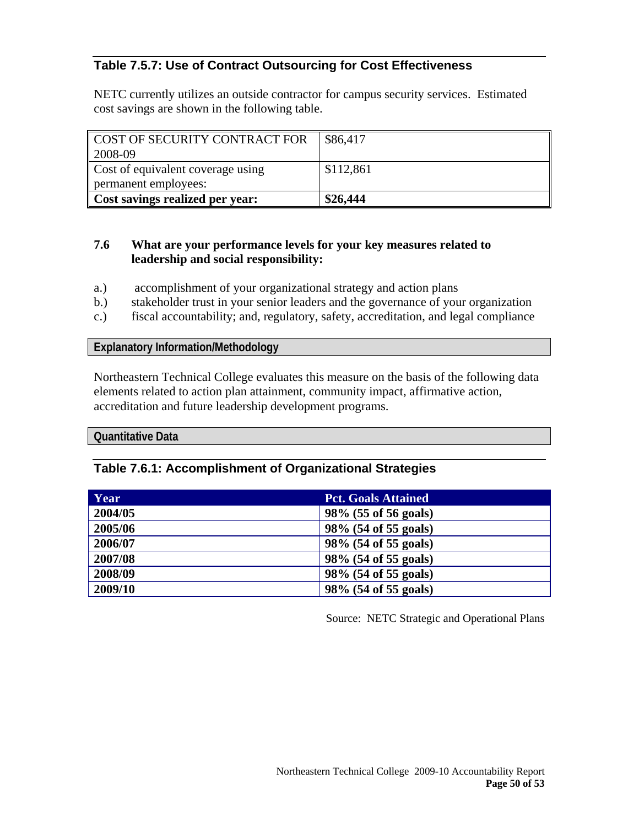# **Table 7.5.7: Use of Contract Outsourcing for Cost Effectiveness**

NETC currently utilizes an outside contractor for campus security services. Estimated cost savings are shown in the following table.

| COST OF SECURITY CONTRACT FOR     | \$86,417  |
|-----------------------------------|-----------|
| $ 2008-09$                        |           |
| Cost of equivalent coverage using | \$112,861 |
| permanent employees:              |           |
| Cost savings realized per year:   | \$26,444  |

#### **7.6 What are your performance levels for your key measures related to leadership and social responsibility:**

- a.) accomplishment of your organizational strategy and action plans
- b.) stakeholder trust in your senior leaders and the governance of your organization
- c.) fiscal accountability; and, regulatory, safety, accreditation, and legal compliance

#### **Explanatory Information/Methodology**

Northeastern Technical College evaluates this measure on the basis of the following data elements related to action plan attainment, community impact, affirmative action, accreditation and future leadership development programs.

#### **Quantitative Data**

#### **Table 7.6.1: Accomplishment of Organizational Strategies**

| Year    | <b>Pct. Goals Attained</b> |
|---------|----------------------------|
| 2004/05 | 98% (55 of 56 goals)       |
| 2005/06 | 98% (54 of 55 goals)       |
| 2006/07 | 98% (54 of 55 goals)       |
| 2007/08 | 98% (54 of 55 goals)       |
| 2008/09 | 98% (54 of 55 goals)       |
| 2009/10 | 98% (54 of 55 goals)       |

Source: NETC Strategic and Operational Plans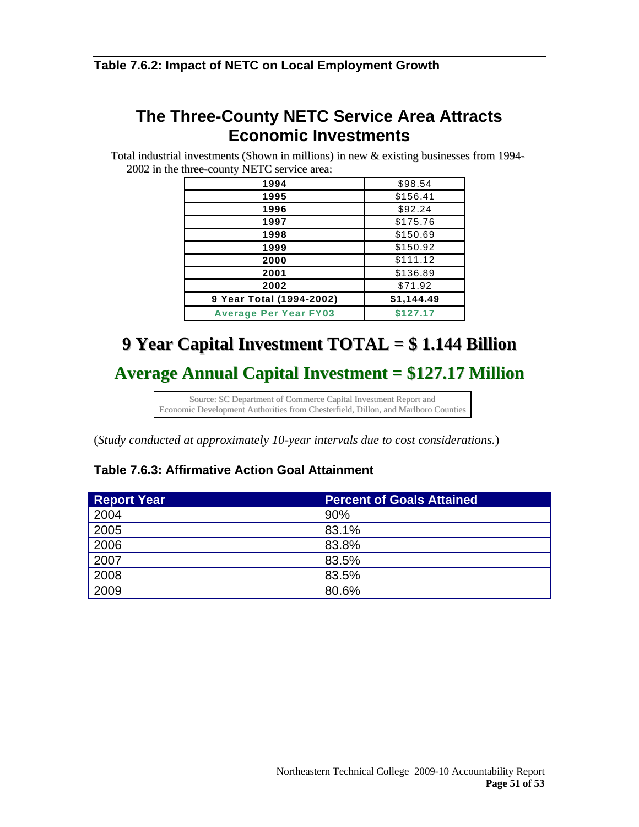## **Table 7.6.2: Impact of NETC on Local Employment Growth**

# **The Three-County NETC Service Area Attracts Economic Investments**

Total industrial investments (Shown in millions) in new & existing businesses from 1994-<br>2002 in the three-county NETC service area: 2002 in the three-county NETC service area:

| 1994                         | \$98.54    |
|------------------------------|------------|
| 1995                         | \$156.41   |
| 1996                         | \$92.24    |
| 1997                         | \$175.76   |
| 1998                         | \$150.69   |
| 1999                         | \$150.92   |
| 2000                         | \$111.12   |
| 2001                         | \$136.89   |
| 2002                         | \$71.92    |
| 9 Year Total (1994-2002)     | \$1,144.49 |
| <b>Average Per Year FY03</b> | \$127.17   |

# **9 Year Capital Investment TOTAL = \$ 1.144 Billion**

**Average Annual Capital Investment = \$127.17 Million**

Source: SC Department of Commerce Capital Investment Report and Economic Development Authorities from Chesterfield, Dillon, and Marlboro Counties

(*Study conducted at approximately 10-year intervals due to cost considerations.*)

# **Table 7.6.3: Affirmative Action Goal Attainment**

| <b>Report Year</b> | <b>Percent of Goals Attained</b> |
|--------------------|----------------------------------|
| 2004               | 90%                              |
| 2005               | 83.1%                            |
| 2006               | 83.8%                            |
| 2007               | 83.5%                            |
| 2008               | 83.5%                            |
| 2009               | 80.6%                            |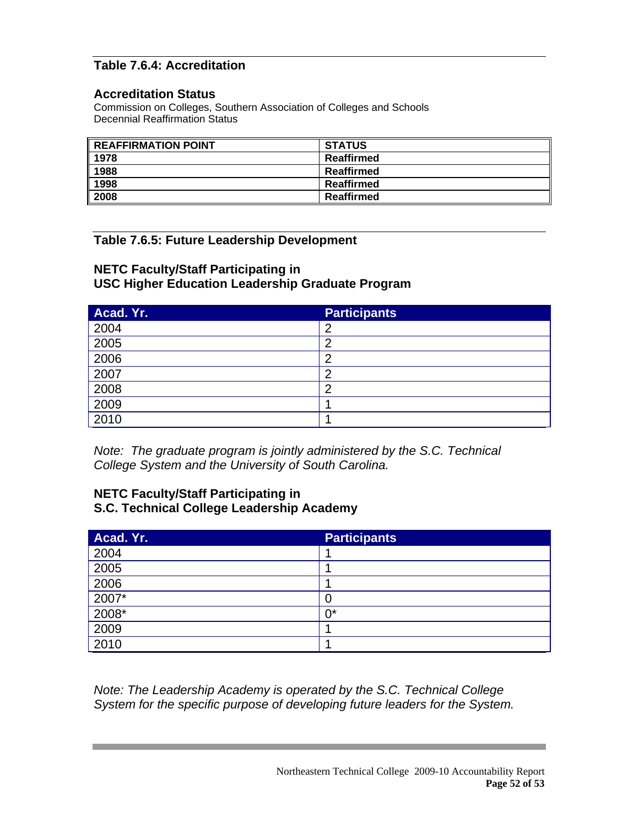# **Table 7.6.4: Accreditation**

#### **Accreditation Status**

Commission on Colleges, Southern Association of Colleges and Schools Decennial Reaffirmation Status

| REAFFIRMATION POINT | <b>STATUS</b> |
|---------------------|---------------|
| 1978                | Reaffirmed    |
| 1988                | Reaffirmed    |
| 1998                | Reaffirmed    |
| 2008                | Reaffirmed    |

# **Table 7.6.5: Future Leadership Development**

# **NETC Faculty/Staff Participating in USC Higher Education Leadership Graduate Program**

| Acad. Yr. | <b>Participants</b> |
|-----------|---------------------|
| 2004      | າ                   |
| 2005      | ◠                   |
| 2006      | ,                   |
| 2007      | n                   |
| 2008      | n                   |
| 2009      |                     |
| 2010      |                     |

*Note: The graduate program is jointly administered by the S.C. Technical College System and the University of South Carolina.* 

## **NETC Faculty/Staff Participating in S.C. Technical College Leadership Academy**

| Acad. Yr. | <b>Participants</b> |
|-----------|---------------------|
| 2004      |                     |
| 2005      |                     |
| 2006      |                     |
| $2007*$   |                     |
| $2008*$   | n*                  |
| 2009      |                     |
| 2010      |                     |

*Note: The Leadership Academy is operated by the S.C. Technical College System for the specific purpose of developing future leaders for the System.*